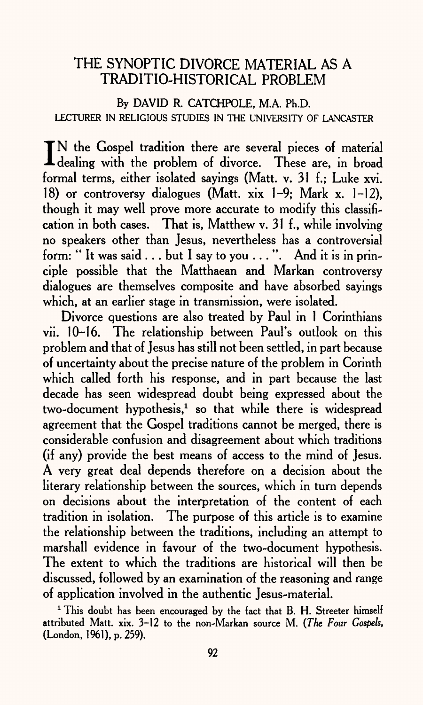### THE SYNOPTIC DIVORCE MATERIAL AS A TRADITIO-HISTORICAL PROBLEM

**By DAVID R. CATCHPOLE, M.A. Ph.D.**  LECTURER IN RELIGIOUS STUDIES IN THE UNIVERSITY OF LANCASTER

IN the Gospel tradition there are several pieces of material<br>dealing with the problem of divorce. These are, in broad TN the Gospel tradition there are several pieces of material formal terms, either isolated sayings (Matt. v. 31 f.; Luke xvi. 18) or controversy dialogues (Matt, xix 1-9; Mark x. 1-12), though it may well prove more accurate to modify this classification in both cases. That is, Matthew v. 31 f., while involving no speakers other than Jesus, nevertheless has a controversial form: "It was said . . . but I say to you . . . ". And it is in principle possible that the Matthaean and Markan controversy dialogues are themselves composite and have absorbed sayings which, at an earlier stage in transmission, were isolated.

Divorce questions are also treated by Paul in 1 Corinthians vii. 10-16. The relationship between Paul's outlook on this problem and that of Jesus has still not been settled, in part because of uncertainty about the precise nature of the problem in Corinth which called forth his response, and in part because the last decade has seen widespread doubt being expressed about the two-document hypothesis, $1$  so that while there is widespread agreement that the Gospel traditions cannot be merged, there is considerable confusion and disagreement about which traditions (if any) provide the best means of access to the mind of Jesus. A very great deal depends therefore on a decision about the literary relationship between the sources, which in turn depends on decisions about the interpretation of the content of each tradition in isolation. The purpose of this article is to examine the relationship between the traditions, including an attempt to marshall evidence in favour of the two-document hypothesis. The extent to which the traditions are historical will then be discussed, followed by an examination of the reasoning and range of application involved in the authentic Jesus-material.

<sup>1</sup> This doubt has been encouraged by the fact that B. H. Streeter himself attributed Matt. xix. 3-12 to the non-Markan source M. *(The Four Gospels,*  (London, 1961), p. 259).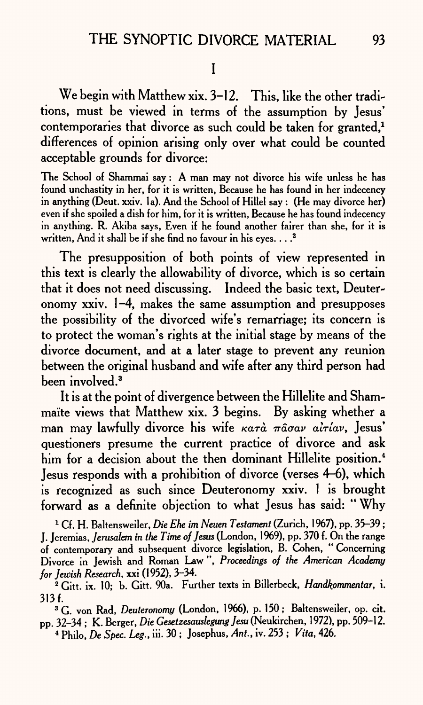### I

We begin with Matthew xix. 3-12. This, like the other traditions, must be viewed in terms of the assumption by Jesus' contemporaries that divorce as such could be taken for granted.<sup>1</sup> differences of opinion arising only over what could be counted acceptable grounds for divorce:

The School of Shammai say: A man may not divorce his wife unless he has found unchastity in her, for it is written, Because he has found in her indecency in anything (Deut. xxiv. 1a). And the School of Hillel say : (He may divorce her) even if she spoiled a dish for him, for it is written, Because he has found indecency in anything. R. Akiba says, Even if he found another fairer than she, for it is written, And it shall be if she find no favour in his eyes.  $\ldots$ <sup>2</sup>

The presupposition of both points of view represented in this text is clearly the allowability of divorce, which is so certain that it does not need discussing. Indeed the basic text, Deuteronomy xxiv. 1-4, makes the same assumption and presupposes the possibility of the divorced wife's remarriage; its concern is to protect the woman's rights at the initial stage by means of the divorce document, and at a later stage to prevent any reunion between the original husband and wife after any third person had been involved.3

It is at the point of divergence between the Hillelite and Shammaite views that Matthew xix. 3 begins. By asking whether <sup>a</sup> man may lawfully divorce his wife  $\kappa a \tau \hat{a}$   $\pi \hat{a} \sigma a \nu$   $\hat{a} \tau i a \nu$ , Jesus' questioners presume the current practice of divorce and ask him for a decision about the then dominant Hillelite position.<sup>4</sup> Jesus responds with a prohibition of divorce (verses 4-6), which is recognized as such since Deuteronomy xxiv. I is brought forward as a definite objection to what Jesus has said: "Why

1 Cf. H. Baltensweiler, *Die Ehe im Neuen Testament* (Zurich, 1967), pp. 35-39; J. Jeremias, *Jerusalem in the Time of Jesus* (London, 1969), pp. 370 f. On the range of contemporary and subsequent divorce legislation, B. Cohen, " Concerning Divorce in Jewish and Roman Law ", *Proceedings of the American Academy for Jewish Research,* xxi (1952), 3-34.

3 G. von Rad, *Deuteronomy* (London, 1966), p. 150; Baltensweiler, op. cit. pp. 32-34 ; K. Berger, *Die Gesetzesauslegung Jesu* (Neukirchen, 1972), pp. 509-12. 4 Philo, *De Spec. Leg.,* iii. 30 ; Josephus, *Ant.,* iv. 253 ; *Vita,* 426.

<sup>2</sup> Gitt. ix. 10; b. Gitt. 90a. Further texts in Billerbeck, *Handkommentar,* i. 313 f.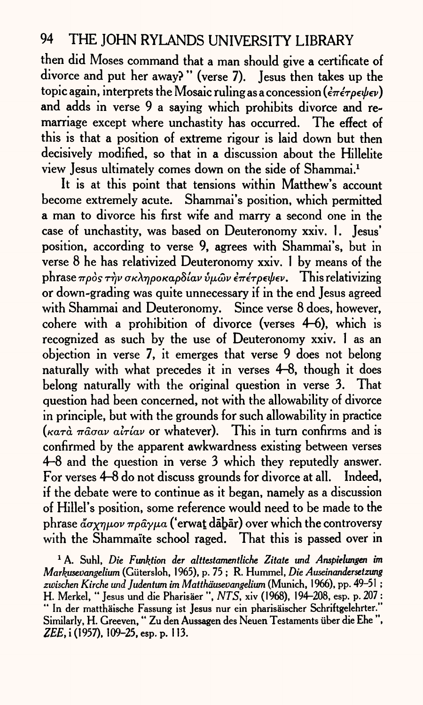then did Moses command that a man should give a certificate of divorce and put her away? " (verse 7). Jesus then takes up the topic again, interprets the Mosaic ruling as a concession ( $\epsilon \pi \epsilon \tau \rho \epsilon \psi \epsilon \nu$ ) and adds in verse 9 a saying which prohibits divorce and remarriage except where unchastity has occurred. The effect of this is that a position of extreme rigour is laid down but then decisively modified, so that in a discussion about the Hillelite view Jesus ultimately comes down on the side of Shammai.1

It is at this point that tensions within Matthew's account become extremely acute. Shammai's position, which permitted <sup>a</sup>man to divorce his first wife and marry a second one in the case of unchastity, was based on Deuteronomy xxiv. 1. Jesus' position, according to verse 9, agrees with Shammai's, but in verse 8 he has relativized Deuteronomy xxiv. 1 by means of the phrase πρὸς τὴν σκληροκαρδίαν ὑμῶν ἐπέτρεψεν. This relativizing or down-grading was quite unnecessary if in the end Jesus agreed with Shammai and Deuteronomy. Since verse 8 does, however, cohere with a prohibition of divorce (verses  $4-6$ ), which is recognized as such by the use of Deuteronomy xxiv. 1 as an objection in verse 7, it emerges that verse 9 does not belong naturally with what precedes it in verses 4-8, though it does belong naturally with the original question in verse 3. That question had been concerned, not with the allowability of divorce in principle, but with the grounds for such allowability in practice  $(\kappa a \tau \hat{a} \pi \hat{a} \sigma a \nu \hat{a} \tau \hat{i} a \nu \sigma \nu)$  whatever). This in turn confirms and is confirmed by the apparent awkwardness existing between verses 4-8 and the question in verse 3 which they reputedly answer. For verses 4-8 do not discuss grounds for divorce at all. Indeed, if the debate were to continue as it began, namely as a discussion of Hillel's position, some reference would need to be made to the phrase  $\mathbf{a}^{\prime}\sigma\mathbf{x}\eta\mu o\nu\pi\rho\mathbf{a}\gamma\mu a$  ('erwat dabar) over which the controversy with the Shammaite school raged. That this is passed over in

1 A. Suhl, *Die Fmktion der alttestamentliche Zitate tmd Anspielungen im Markasevangelium* (Giitersloh, 1965), p. 75 ; R. Hummel, *Die Auseinandersetzung zwischen Kirche undjudentum im Matthdusevangelium* (Munich, 1966), pp. 49-51 ; H. Merkel, " Jesus und die Pharisaer ", *NTS.* xiv (1968), 194-208, esp. p. 207 : " In der matthaische Fassung ist Jesus nur ein pharisaischer Schriftgelehrter." Similarly, H. Greeven," Zu den Aussagen des Neuen Testaments iiber die Ehe ", ZEE, i (1957), 109-25, esp. p. 113.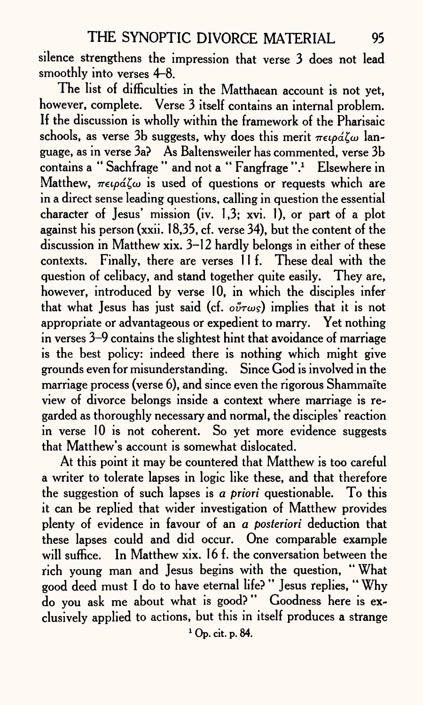silence strengthens the impression that verse 3 does not lead smoothly into verses 4-8.

The list of difficulties in the Matthaean account is not yet, however, complete. Verse 3 itself contains an internal problem. If the discussion is wholly within the framework of the Pharisaic schools, as verse 3b suggests, why does this merit  $\pi \epsilon \varphi \Delta \zeta \omega$  language, as in verse 3a? As Baltensweiler has commented, verse 3b contains a "Sachfrage" and not a "Fangfrage".<sup>1</sup> Elsewhere in Matthew,  $\pi\epsilon\varphi\acute{a}\zeta\omega$  is used of questions or requests which are in a direct sense leading questions, calling in question the essential character of Jesus' mission (iv.  $1,3$ ; xvi. 1), or part of a plot against his person (xxii. 18,35, cf. verse 34), but the content of the discussion in Matthew xix. 3-12 hardly belongs in either of these contexts. Finally, there are verses 11 f. These deal with the question of celibacy, and stand together quite easily. They are, however, introduced by verse 10, in which the disciples infer that what Jesus has just said (cf.  $o\tilde{v} \tau \omega s$ ) implies that it is not appropriate or advantageous or expedient to marry. Yet nothing in verses 3-9 contains the slightest hint that avoidance of marriage is the best policy: indeed there is nothing which might give grounds even for misunderstanding. Since God is involved in the marriage process (verse 6), and since even the rigorous Shammaite view of divorce belongs inside a context where marriage is regarded as thoroughly necessary and normal, the disciples' reaction in verse 10 is not coherent. So yet more evidence suggests that Matthew's account is somewhat dislocated.

At this point it may be countered that Matthew is too careful <sup>a</sup>writer to tolerate lapses in logic like these, and that therefore the suggestion of such lapses is *<sup>a</sup>priori* questionable. To this it can be replied that wider investigation of Matthew provides plenty of evidence in favour of an *a posteriori* deduction that these lapses could and did occur. One comparable example will suffice. In Matthew xix. 16 f. the conversation between the rich young man and Jesus begins with the question, " What good deed must I do to have eternal life? " Jesus replies, " Why do you ask me about what is good? " Goodness here is exclusively applied to actions, but this in itself produces a strange 1 Op. cit. p. 84.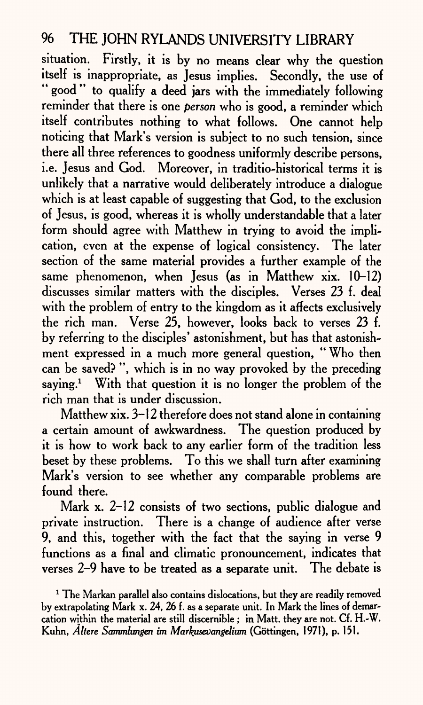situation. Firstly, it is by no means clear why the question itself is inappropriate, as Jesus implies. Secondly, the use of " good" to qualify a deed jars with the immediately following reminder that there is one *person* who is good, a reminder which itself contributes nothing to what follows. One cannot help noticing that Mark's version is subject to no such tension, since there all three references to goodness uniformly describe persons, i.e. Jesus and God. Moreover, in traditio-historical terms it is unlikely that a narrative would deliberately introduce a dialogue which is at least capable of suggesting that God, to the exclusion of Jesus, is good, whereas it is wholly understandable that a later form should agree with Matthew in trying to avoid the implication, even at the expense of logical consistency. The later section of the same material provides a further example of the same phenomenon, when Jesus (as in Matthew xix. 10-12) discusses similar matters with the disciples. Verses 23 f. deal with the problem of entry to the kingdom as it affects exclusively the rich man. Verse 25, however, looks back to verses 23 f. by referring to the disciples' astonishment, but has that astonishment expressed in a much more general question, "Who then can be saved? ", which is in no way provoked by the preceding saying.<sup>1</sup> With that question it is no longer the problem of the rich man that is under discussion.

Matthew xix. 3-12 therefore does not stand alone in containing a certain amount of awkwardness. The question produced by it is how to work back to any earlier form of the tradition less beset by these problems. To this we shall turn after examining Mark's version to see whether any comparable problems are found there.

Mark x. 2–12 consists of two sections, public dialogue and private instruction. There is a change of audience after verse 9, and this, together with the fact that the saying in verse 9 functions as a final and climatic pronouncement, indicates that verses 2-9 have to be treated as <sup>a</sup>separate unit. The debate is

 $1$  The Markan parallel also contains dislocations, but they are readily removed by extrapolating Mark x. 24, 26 f. as a separate unit. In Mark the lines of demarcation within the material are still discernible ; in Matt, they are not. Cf. H.-W. Kuhn, *Alters Sammlungen im Markusevangelium* (Gottingen, 1971), p. 151.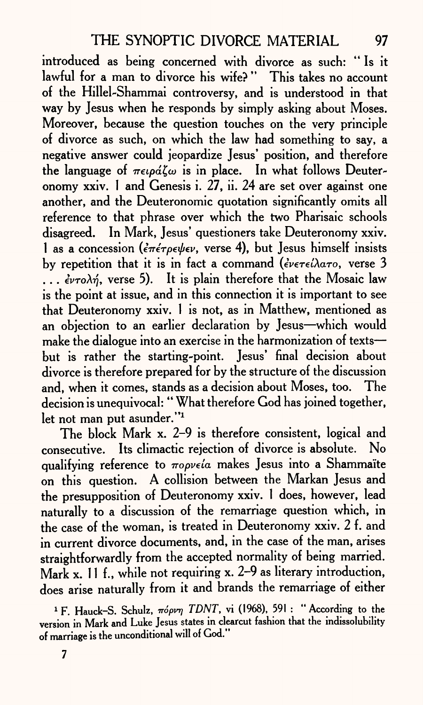introduced as being concerned with divorce as such: "Is it lawful for a man to divorce his wife? " This takes no account of the Hillel-Shammai controversy, and is understood in that way by Jesus when he responds by simply asking about Moses. Moreover, because the question touches on the very principle of divorce as such, on which the law had something to say, <sup>a</sup> negative answer could jeopardize Jesus' position, and therefore the language of  $\pi \epsilon \omega \tilde{\omega}$  is in place. In what follows Deuteronomy xxiv. 1 and Genesis i. 27, ii. 24 are set over against one another, and the Deuteronomic quotation significantly omits all reference to that phrase over which the two Pharisaic schools disagreed. In Mark, Jesus' questioners take Deuteronomy xxiv. 1 as a concession ( $\epsilon \pi \epsilon \nu \epsilon \nu$ , verse 4), but Jesus himself insists by repetition that it is in fact a command *(ενετείλατο*, verse 3  $\ldots$  *evro* $\lambda$ *n*, verse 5). It is plain therefore that the Mosaic law is the point at issue, and in this connection it is important to see that Deuteronomy xxiv. 1 is not, as in Matthew, mentioned as an objection to an earlier declaration by Jesus-which would make the dialogue into an exercise in the harmonization of texts but is rather the starting-point. Jesus' final decision about divorce is therefore prepared for by the structure of the discussion and, when it comes, stands as <sup>a</sup>decision about Moses, too. The decision is unequivocal: " What therefore God has joined together, let not man put asunder."1

The block Mark x. 2-9 is therefore consistent, logical and consecutive. Its climactic rejection of divorce is absolute. No qualifying reference to  $\pi$ opveía makes Jesus into a Shammaïte on this question. A collision between the Markan Jesus and the presupposition of Deuteronomy xxiv. 1 does, however, lead naturally to a discussion of the remarriage question which, in the case of the woman, is treated in Deuteronomy xxiv. 2 f. and in current divorce documents, and, in the case of the man, arises straightforwardly from the accepted normality of being married. Mark x. 11 f., while not requiring x. 2-9 as literary introduction, does arise naturally from it and brands the remarriage of either

<sup>1</sup> F. Hauck-S. Schulz, πόρνη *TDNT*, vi (1968), 591 : "According to the version in Mark and Luke Jesus states in clearcut fashion that the indissolubility of marriage is the unconditional will of God."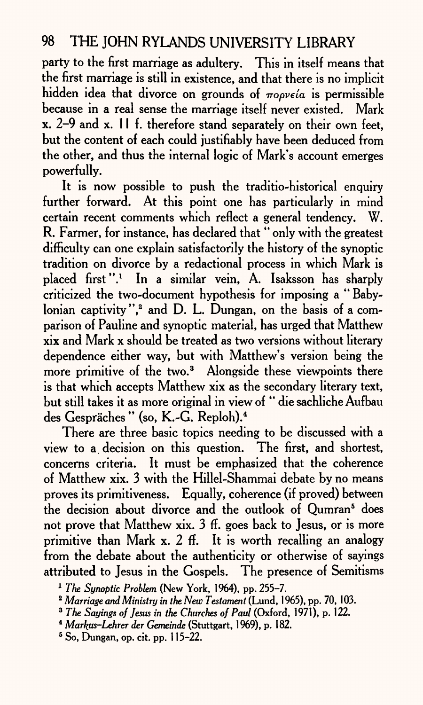party to the first marriage as adultery. This in itself means that the first marriage is still in existence, and that there is no implicit hidden idea that divorce on grounds of  $\pi$ opveia is permissible because in a real sense the marriage itself never existed. Mark x. 2-9 and x. 11 f. therefore stand separately on their own feet, but the content of each could justifiably have been deduced from the other, and thus the internal logic of Mark's account emerges powerfully.

It is now possible to push the traditio-historical enquiry further forward. At this point one has particularly in mind certain recent comments which reflect a general tendency. W. R. Farmer, for instance, has declared that " only with the greatest difficulty can one explain satisfactorily the history of the synoptic tradition on divorce by a redactional process in which Mark is placed first".1 In a similar vein, A. Isaksson has sharply criticized the two-document hypothesis for imposing a " Babylonian captivity",<sup>2</sup> and D. L. Dungan, on the basis of a comparison of Pauline and synoptic material, has urged that Matthew xix and Mark x should be treated as two versions without literary dependence either way, but with Matthew's version being the more primitive of the two.<sup>3</sup> Alongside these viewpoints there is that which accepts Matthew xix as the secondary literary text, but still takes it as more original in view of " die sachliche Aufbau des Gespräches" (so, K.-G. Reploh).<sup>4</sup>

There are three basic topics needing to be discussed with a view to a. decision on this question. The first, and shortest, concerns criteria. It must be emphasized that the coherence of Matthew xix. 3 with the Hillel-Shammai debate by no means proves its primitiveness. Equally, coherence (if proved) between the decision about divorce and the outlook of Oumran<sup>5</sup> does not prove that Matthew xix. 3 ff. goes back to Jesus, or is more primitive than Mark x. 2 ff. It is worth recalling an analogy from the debate about the authenticity or otherwise of sayings attributed to Jesus in the Gospels. The presence of Semitisms

 $5$  So, Dungan, op. cit. pp.  $115-22$ .

<sup>1</sup>*The Synoptic Problem* (New York, 1964), pp. 255-7.

<sup>2</sup>*Marriage and Ministry in the New Testament* (Lund, 1965), pp. 70, 103.

<sup>3</sup>*The Sayings of Jesus in the Churches of Paul* (Oxford, 1971), p. 122.

<sup>4</sup>*Markus-Lehrer der Gemeinde* (Stuttgart, 1969), p. 182.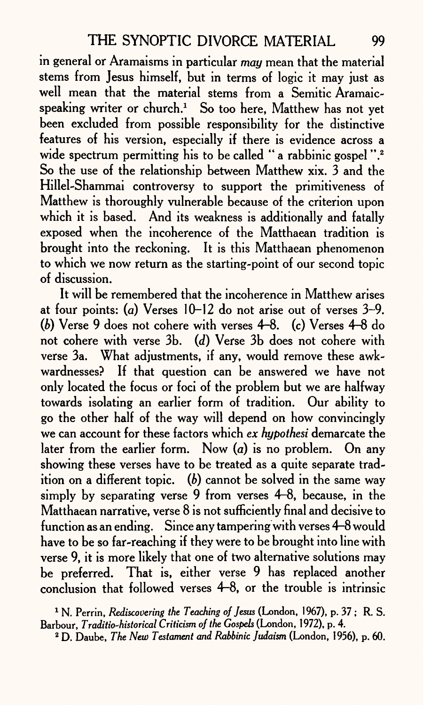in general or Aramaisms in particular *may* mean that the material stems from Jesus himself, but in terms of logic it may just as well mean that the material stems from a Semitic Aramaicspeaking writer or church.<sup>1</sup> So too here, Matthew has not yet been excluded from possible responsibility for the distinctive features of his version, especially if there is evidence across <sup>a</sup> wide spectrum permitting his to be called " a rabbinic gospel".<sup>2</sup> So the use of the relationship between Matthew xix. 3 and the Hillel-Shammai controversy to support the primitiveness of Matthew is thoroughly vulnerable because of the criterion upon which it is based. And its weakness is additionally and fatally exposed when the incoherence of the Matthaean tradition is brought into the reckoning. It is this Matthaean phenomenon to which we now return as the starting-point of our second topic of discussion.

It will be remembered that the incoherence in Matthew arises at four points: *(a)* Verses 10-12 do not arise out of verses 3-9. *(b)* Verse 9 does not cohere with verses 4-8. (c) Verses 4-8 do not cohere with verse 3b. *(d)* Verse 3b does not cohere with verse 3a. What adjustments, if any, would remove these awkwardnesses? If that question can be answered we have not only located the focus or foci of the problem but we are halfway towards isolating an earlier form of tradition. Our ability to go the other half of the way will depend on how convincingly we can account for these factors which *ex hypothesi* demarcate the later from the earlier form. Now (a) is no problem. On any showing these verses have to be treated as a quite separate tradition on a different topic.  $(b)$  cannot be solved in the same way simply by separating verse 9 from verses 4-8, because, in the Matthaean narrative, verse 8 is not sufficiently final and decisive to function as an ending. Since any tampering with verses 4-8 would have to be so far-reaching if they were to be brought into line with verse 9, it is more likely that one of two alternative solutions may be preferred. That is, either verse 9 has replaced another conclusion that followed verses 4-8, or the trouble is intrinsic

1 N. Perrin, *Rediscovering the Teaching of Jesus* (London, 1967), p. 37 ; R. S. Barbour, *Traditio-historical Criticism of the Gospels* (London, 1972), p. 4.

2 D. Daube, *The New Testament and Rabbinic Judaism* (London, 1956), p. 60.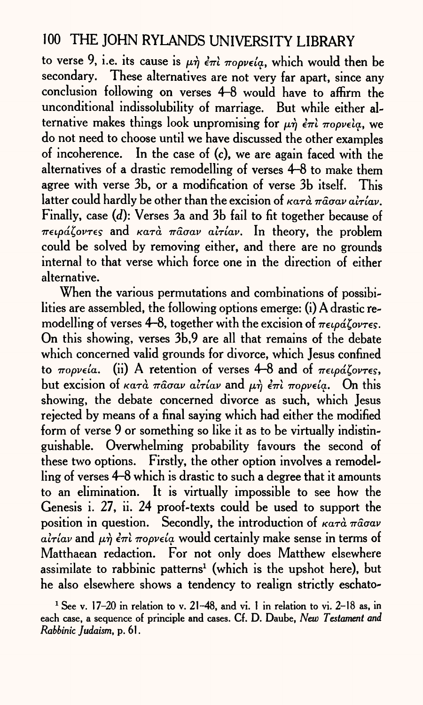to verse 9, i.e. its cause is  $\mu \dot{\eta}$   $\dot{\epsilon} \pi \dot{\iota}$   $\pi$ opv $\epsilon$ *ia*, which would then be secondary. These alternatives are not very far apart, since any conclusion following on verses 4-8 would have to affirm the unconditional indissolubility of marriage. But while either alternative makes things look unpromising for  $\mu \eta$   $\epsilon \pi i$   $\pi o \rho$ *v* $\epsilon i \alpha$ , we do not need to choose until we have discussed the other examples of incoherence. In the case of (c), we are again faced with the alternatives of a drastic remodelling of verses 4-8 to make them agree with verse 3b, or a modification of verse 3b itself. This latter could hardly be other than the excision of  $\kappa a \tau \hat{a}$  *magav airiav*. Finally, case *(d):* Verses 3a and 3b fail to fit together because of  $\pi \epsilon \varphi \Delta \zeta$ ov $\tau \epsilon$  and  $\kappa \alpha \tau \alpha$   $\pi \alpha \sigma \alpha \nu$   $\alpha \tau \zeta \alpha \nu$ . In theory, the problem could be solved by removing either, and there are no grounds internal to that verse which force one in the direction of either alternative.

When the various permutations and combinations of possibilities are assembled, the following options emerge: (i) A drastic remodelling of verses 4-8, together with the excision of  $\pi \epsilon \omega \hat{\alpha} \zeta \omega \tau \epsilon s$ . On this showing, verses 3b,9 are all that remains of the debate which concerned valid grounds for divorce, which Jesus confined to  $\pi$ *opveia.* (ii) A retention of verses 4-8 and of  $\pi$ *etpd*<sup>*lovres*.</sup> but excision of  $\kappa a \tau \hat{a}$   $\pi \hat{a} \sigma a \nu$   $\hat{a} \tau i \hat{a} \nu$  and  $\mu \hat{n}$   $\hat{\epsilon} \pi \hat{i}$   $\pi o \rho \nu \epsilon i \hat{a}$ . On this showing, the debate concerned divorce as such, which Jesus rejected by means of a final saying which had either the modified form of verse 9 or something so like it as to be virtually indistinguishable. Overwhelming probability favours the second of these two options. Firstly, the other option involves a remodelling of verses 4-8 which is drastic to such a degree that it amounts to an elimination. It is virtually impossible to see how the Genesis i. 27, ii. 24 proof-texts could be used to support the position in question. Secondly, the introduction of  $\kappa a \tau \hat{a} \pi \hat{a} \sigma a \nu$  $a\hat{i}\tau\hat{i}$ av and  $\mu\hat{\eta}$   $\hat{\epsilon}\pi\hat{i}$   $\pi$ opv $\epsilon\hat{i}$ a would certainly make sense in terms of Matthaean redaction. For not only does Matthew elsewhere assimilate to rabbinic patterns<sup>1</sup> (which is the upshot here), but he also elsewhere shows a tendency to realign strictly eschato-

<sup>&</sup>lt;sup>1</sup> See v. 17-20 in relation to v. 21-48, and vi. 1 in relation to vi. 2-18 as, in each case, <sup>a</sup>sequence of principle and cases. Cf. D. Daube, *New Testament and Rabbinic Judaism,* p. 61.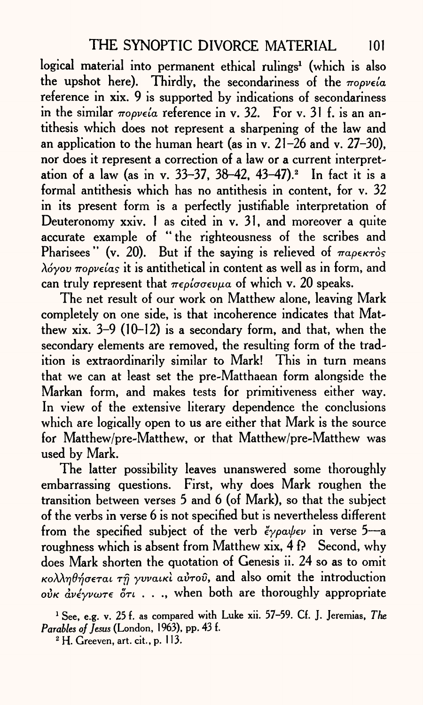logical material into permanent ethical rulings<sup>1</sup> (which is also the upshot here). Thirdly, the secondariness of the  $m$ opveia reference in xix. 9 is supported by indications of secondariness in the similar  $\pi$ *opveia* reference in v. 32. For v. 31 f. is an antithesis which does not represent a sharpening of the law and an application to the human heart (as in v. 21-26 and v. 27-30), nor does it represent a correction of a law or a current interpretation of a law (as in v. 33-37, 38-42, 43-47).<sup>2</sup> In fact it is a formal antithesis which has no antithesis in content, for v. 32 in its present form is a perfectly justifiable interpretation of Deuteronomy xxiv. 1 as cited in v. 31, and moreover a quite accurate example of " the righteousness of the scribes and Pharisees" (v. 20). But if the saying is relieved of  $\pi a \rho \epsilon \kappa \tau \delta s$ *\6yov Tropvelas* it is antithetical in content as well as in form, and can truly represent that  $\pi \epsilon \rho i \sigma \sigma \epsilon \nu \mu a$  of which v. 20 speaks.

The net result of our work on Matthew alone, leaving Mark completely on one side, is that incoherence indicates that Matthew xix. 3-9 (10-12) is a secondary form, and that, when the secondary elements are removed, the resulting form of the tradition is extraordinarily similar to Mark! This in turn means that we can at least set the pre-Matthaean form alongside the Markan form, and makes tests for primitiveness either way. In view of the extensive literary dependence the conclusions which are logically open to us are either that Mark is the source for Matthew/pre-Matthew, or that Matthew/pre-Matthew was used by Mark.

The latter possibility leaves unanswered some thoroughly embarrassing questions. First, why does Mark roughen the transition between verses 5 and 6 (of Mark), so that the subject of the verbs in verse 6 is not specified but is nevertheless different transition between verses 5 and 6 (of Mark), so that the subject<br>of the verbs in verse 6 is not specified but is nevertheless different<br>from the specified subject of the verb  $\epsilon \gamma \rho a \psi \epsilon \nu$  in verse 5—a roughness which is absent from Matthew xix, 4 f? Second, why does Mark shorten the quotation of Genesis ii. 24 so as to omit  $\kappa$ o $\lambda \lambda \eta \theta \eta \sigma$ *erai*  $\tau \hat{\eta}$  *yvvaiki avrov*, and also omit the introduction  $\partial v \kappa \partial v \partial \psi$  *dv*e  $\partial \tau$  . . . . when both are thoroughly appropriate

1 See, e.g. v. 25 f. as compared with Luke xii. 57-59. Cf. J. Jeremias, *The Parables of Jesus* (London, 1963), pp. 43 f.

2 H. Greeven, art. cit., p. 113.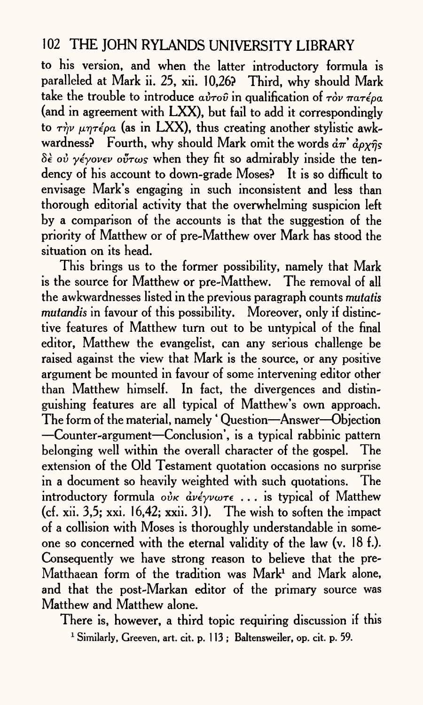to his version, and when the latter introductory formula is paralleled at Mark ii. 25, xii. 10,26? Third, why should Mark take the trouble to introduce  $a\dot{v}\tau o\hat{v}$  in qualification of  $\tau\dot{o}v$   $\pi a\tau\acute{e}oa$ (and in agreement with LXX), but fail to add it correspondingly to  $\tau \dot{\gamma} \nu \mu \eta \tau \dot{\epsilon} \rho a$  (as in LXX), thus creating another stylistic awkwardness? Fourth, why should Mark omit the words  $d\pi d\rho\chi\hat{\eta}s$  $\delta \dot{\epsilon}$  *ov*  $\gamma \dot{\epsilon}$  *yover ovtags* when they fit so admirably inside the tendency of his account to down-grade Moses? It is so difficult to envisage Mark's engaging in such inconsistent and less than thorough editorial activity that the overwhelming suspicion left by <sup>a</sup>comparison of the accounts is that the suggestion of the priority of Matthew or of pre-Matthew over Mark has stood the situation on its head.

This brings us to the former possibility, namely that Mark is the source for Matthew or pre-Matthew. The removal of all the awkwardnesses listed in the previous paragraph counts *mutatis mutandis* in favour of this possibility. Moreover, only if distinctive features of Matthew turn out to be untypical of the final editor, Matthew the evangelist, can any serious challenge be raised against the view that Mark is the source, or any positive argument be mounted in favour of some intervening editor other than Matthew himself. In fact, the divergences and distinguishing features are all typical of Matthew's own approach. The form of the material, namely 'Question-Answer-Objection Counter-argument Conclusion', is a typical rabbinic pattern belonging well within the overall character of the gospel. The extension of the Old Testament quotation occasions no surprise in a document so heavily weighted with such quotations. The introductory formula  $\partial \dot{\nu} \kappa \, d\nu \epsilon \gamma \nu \omega \tau \epsilon$  ... is typical of Matthew (cf. xii. 3,5; xxi. 16,42; xxii. 31). The wish to soften the impact of a collision with Moses is thoroughly understandable in someone so concerned with the eternal validity of the law (v. 18 f.). Consequently we have strong reason to believe that the pre-Matthaean form of the tradition was  $Mark<sup>1</sup>$  and Mark alone, and that the post-Markan editor of the primary source was Matthew and Matthew alone.

There is, however, a third topic requiring discussion if this <sup>1</sup> Similarly, Greeven, art. cit. p. 113; Baltensweiler, op. cit. p. 59.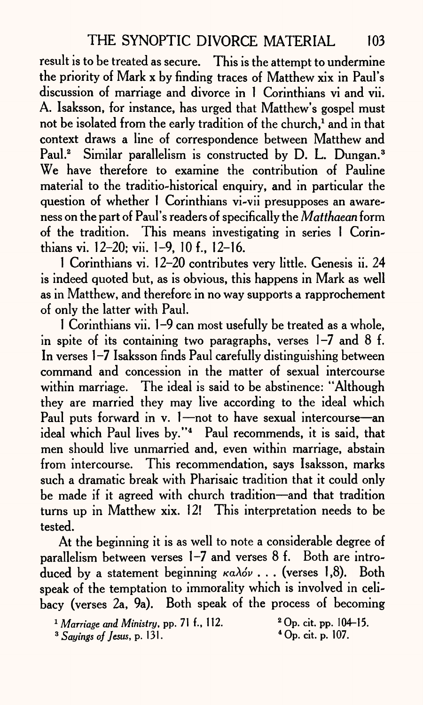result is to be treated as secure. This is the attempt to undermine the priority of Mark x by finding traces of Matthew xix in Paul's discussion of marriage and divorce in 1 Corinthians vi and vii. A. Isaksson, for instance, has urged that Matthew's gospel must not be isolated from the early tradition of the church,<sup>1</sup> and in that context draws a line of correspondence between Matthew and Paul.<sup>2</sup> Similar parallelism is constructed by D. L. Dungan.<sup>3</sup> We have therefore to examine the contribution of Pauline material to the traditio-historical enquiry, and in particular the question of whether 1 Corinthians vi-vii presupposes an awareness on the part of Paul's readers of specifically the *Matthaean* form of the tradition. This means investigating in series 1 Corinthians vi. 12-20; vii. 1-9, 10 f., 12-16.

1 Corinthians vi. 12-20 contributes very little. Genesis ii. 24 is indeed quoted but, as is obvious, this happens in Mark as well as in Matthew, and therefore in no way supports a rapprochement of only the latter with Paul.

1 Corinthians vii. 1-9 can most usefully be treated as a whole, in spite of its containing two paragraphs, verses  $1-7$  and  $8$  f. In verses 1-7 Isaksson finds Paul carefully distinguishing between command and concession in the matter of sexual intercourse within marriage. The ideal is said to be abstinence: "Although they are married they may live according to the ideal which Paul puts forward in v. 1-not to have sexual intercourse an ideal which Paul lives by."<sup>4</sup> Paul recommends, it is said, that men should live unmarried and, even within marriage, abstain from intercourse. This recommendation, says Isaksson, marks such a dramatic break with Pharisaic tradition that it could only be made if it agreed with church tradition—and that tradition turns up in Matthew xix. 12! This interpretation needs to be tested.

At the beginning it is as well to note a considerable degree of parallelism between verses 1-7 and verses 8 f. Both are introduced by a statement beginning *καλόν* . . . (verses 1,8). Both speak of the temptation to immorality which is involved in celibacy (verses 2a, 9a). Both speak of the process of becoming

<sup>&</sup>lt;sup>1</sup> Marriage and Ministry, pp. 71 f., 112. <sup>2</sup> Op. cit. pp. 104-15.

<sup>&</sup>lt;sup>3</sup> Sayings of Jesus, p. 131. <sup>4</sup> Op. cit. p. 107.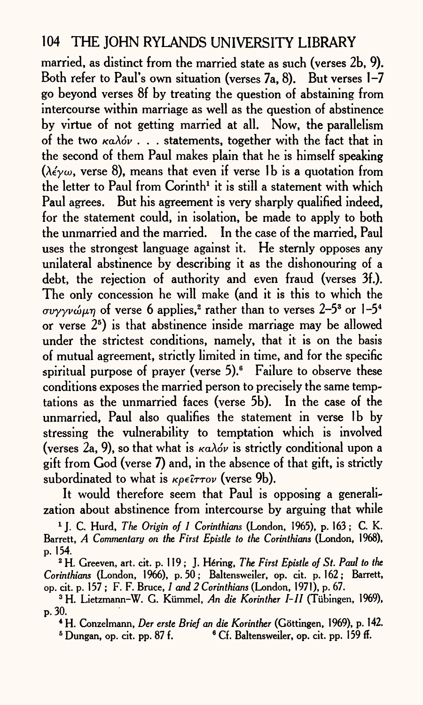married, as distinct from the married state as such (verses 2b, 9). Both refer to Paul's own situation (verses 7a, 8). But verses 1-7 go beyond verses 8f by treating the question of abstaining from intercourse within marriage as well as the question of abstinence by virtue of not getting married at all. Now, the parallelism of the two *KaXov . . .* statements, together with the fact that in the second of them Paul makes plain that he is himself speaking ( $\lambda \epsilon \sim \omega$ , verse 8), means that even if verse 1b is a quotation from the letter to Paul from  $Corinth<sup>1</sup>$  it is still a statement with which Paul agrees. But his agreement is very sharply qualified indeed, for the statement could, in isolation, be made to apply to both the unmarried and the married. In the case of the married, Paul uses the strongest language against it. He sternly opposes any unilateral abstinence by describing it as the dishonouring of <sup>a</sup> debt, the rejection of authority and even fraud (verses 3f.). The only concession he will make (and it is this to which the  $\sigma$ *vyyv* $\omega$ *<sub>H</sub>* $\gamma$  of verse 6 applies,<sup>2</sup> rather than to verses 2-5<sup>3</sup> or 1-5<sup>4</sup> or verse  $2<sup>5</sup>$ ) is that abstinence inside marriage may be allowed under the strictest conditions, namely, that it is on the basis of mutual agreement, strictly limited in time, and for the specific spiritual purpose of prayer (verse  $5$ ).<sup>6</sup> Failure to observe these conditions exposes the married person to precisely the same temptations as the unmarried faces (verse 5b). In the case of the unmarried, Paul also qualifies the statement in verse Ib by stressing the vulnerability to temptation which is involved (verses 2a, 9), so that what is  $\kappa a \lambda \phi \nu$  is strictly conditional upon a gift from God (verse 7) and, in the absence of that gift, is strictly subordinated to what is *Kpelrrov* (verse 9b).

It would therefore seem that Paul is opposing a generalization about abstinence from intercourse by arguing that while

X J. C. Hurd, *The Origin of 1 Corinthians* (London, 1965), p. 163; C. K. Barrett, *A Commentary on the First Epistle to the Corinthians* (London, 1968), p. 154.

2 H. Greeven, art. cit. p. 119 ; J. Hiring, *The First Epistle of St. Paid to the Corinthians* (London, 1966), p. 50 ; Baltensweiler, op. cit. p. 162 ; Barrett, op. cit. p. 157 ; F. F. Bruce, / *and 2 Corinthians* (London, 1971), p. 67.

3 H. Lietzmann-W. G. Kiimmel, *An die Korinther I-11* (Tubingen, 1969), p. 30.

4 H. Conzelmann, *Der erste Brief an die Korinther* (Gottingen, 1969), p. 142.

 $5$  Dungan, op. cit. pp. 87 f.  $\blacksquare$   $6$  Cf. Baltensweiler, op. cit. pp. 159 ff.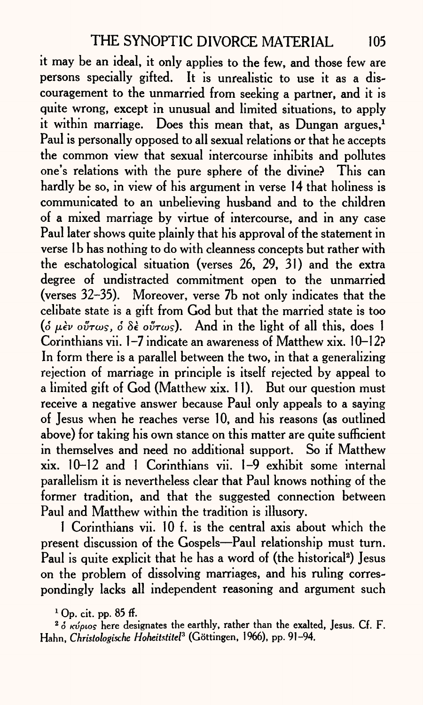it may be an ideal, it only applies to the few, and those few are persons specially gifted. It is unrealistic to use it as a discouragement to the unmarried from seeking a partner, and it is quite wrong, except in unusual and limited situations, to apply it within marriage. Does this mean that, as Dungan argues,<sup>1</sup> Paul is personally opposed to all sexual relations or that he accepts the common view that sexual intercourse inhibits and pollutes one's relations with the pure sphere of the divine? This can hardly be so, in view of his argument in verse 14 that holiness is communicated to an unbelieving husband and to the children of a mixed marriage by virtue of intercourse, and in any case Paul later shows quite plainly that his approval of the statement in verse 1b has nothing to do with cleanness concepts but rather with the eschatological situation (verses 26, 29, 31) and the extra degree of undistracted commitment open to the unmarried (verses 32-35). Moreover, verse 7b not only indicates that the celibate state is <sup>a</sup>gift from God but that the married state is too ( $\delta \mu \partial \nu \partial \nu \partial \sigma$   $\delta \partial \partial \partial \rho \partial \nu$  *(for <i>leage*). And in the light of all this, does 1 Corinthians vii. 1-7 indicate an awareness of Matthew xix. 10-12? In form there is a parallel between the two, in that a generalizing rejection of marriage in principle is itself rejected by appeal to a limited gift of God (Matthew xix. 11). But our question must receive a negative answer because Paul only appeals to a saying of Jesus when he reaches verse 10, and his reasons (as outlined above) for taking his own stance on this matter are quite sufficient in themselves and need no additional support. So if Matthew xix. 10-12 and 1 Corinthians vii. 1-9 exhibit some internal parallelism it is nevertheless clear that Paul knows nothing of the former tradition, and that the suggested connection between Paul and Matthew within the tradition is illusory.

1 Corinthians vii. 10 f. is the central axis about which the present discussion of the Gospels-Paul relationship must turn. Paul is quite explicit that he has a word of (the historical<sup>2</sup>) Jesus on the problem of dissolving marriages, and his ruling correspondingly lacks all independent reasoning and argument such

 $1$  Op. cit. pp. 85 ff.

 $2\delta$   $\kappa \nu \rho \nu \sigma$  here designates the earthly, rather than the exalted, Jesus. Cf. F. Hahn, *Christolosixhe Hoheitstitel3* (Gottingen, 1966), pp. 91-94.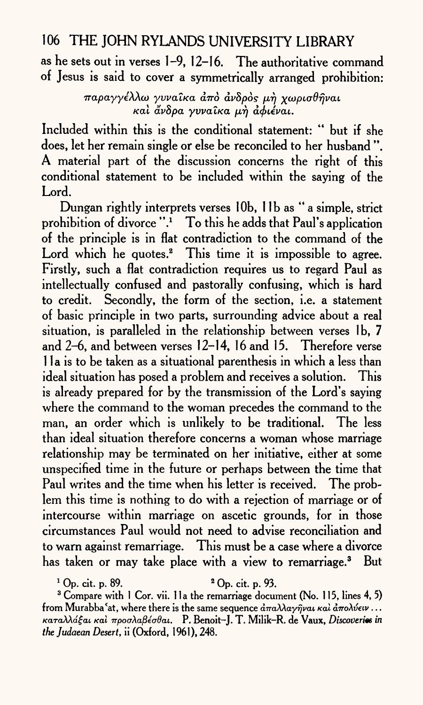as he sets out in verses 1-9, 12-16. The authoritative command of Jesus is said to cover a symmetrically arranged prohibition:

> $\pi$ αραγγέλλω γυναίκα άπό ανδρός μή χωρισθήναι  $k$ αλ *άνδρα γυναίκα μή αφιέναι.*

Included within this is the conditional statement: " but if she does, let her remain single or else be reconciled to her husband ". A material part of the discussion concerns the right of this conditional statement to be included within the saying of the Lord.

Dungan rightly interprets verses lOb, 1 Ib as "a simple, strict prohibition of divorce  $"$ .<sup>1</sup> To this he adds that Paul's application of the principle is in flat contradiction to the command of the Lord which he quotes.<sup>2</sup> This time it is impossible to agree. Firstly, such a flat contradiction requires us to regard Paul as intellectually confused and pastorally confusing, which is hard to credit. Secondly, the form of the section, i.e. a statement of basic principle in two parts, surrounding advice about a real situation, is paralleled in the relationship between verses Ib, 7 and 2-6, and between verses 12-14, 16 and 15. Therefore verse 11 a is to be taken as a situational parenthesis in which a less than ideal situation has posed a problem and receives a solution. This is already prepared for by the transmission of the Lord's saying where the command to the woman precedes the command to the man, an order which is unlikely to be traditional. The less than ideal situation therefore concerns a woman whose marriage relationship may be terminated on her initiative, either at some unspecified time in the future or perhaps between the time that Paul writes and the time when his letter is received. The problem this time is nothing to do with a rejection of marriage or of intercourse within marriage on ascetic grounds, for in those circumstances Paul would not need to advise reconciliation and to warn against remarriage. This must be <sup>a</sup>case where a divorce has taken or may take place with a view to remarriage.<sup>3</sup> But

 $1 \text{ Op. cit. p. } 89.$   $2 \text{ Op. cit. p. } 93.$ 

<sup>3</sup> Compare with 1 Cor. vii. 1 la the remarriage document (No. 115, lines 4, 5) from Murabba 'at, where there is the same sequence  $\frac{\partial \pi}{\partial \lambda} \frac{\partial \lambda}{\partial \varphi} \frac{\partial \varphi}{\partial \varphi}$  *i a*  $\pi$ ολύειν ... /caraAAa^cu *KOI TrpoaXafieaOai.* P. Benoit-J. T. Milik-R. de Vaux, *Discoveries in thejudaean Desert,* ii (Oxford, 1961), 248.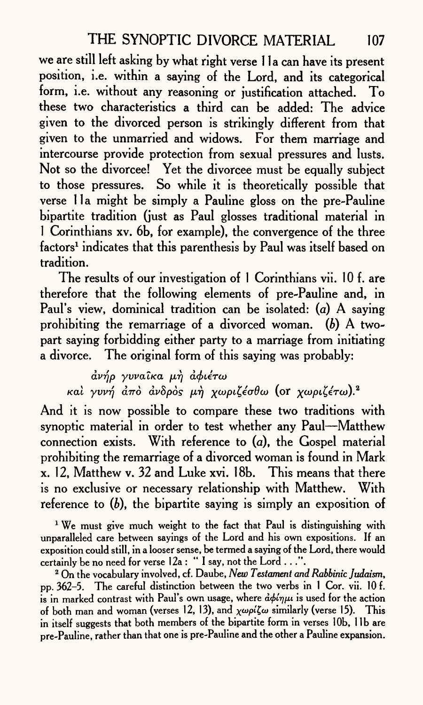we are still left asking by what right verse 11a can have its present position, i.e. within a saying of the Lord, and its categorical form, i.e. without any reasoning or justification attached. To these two characteristics a third can be added: The advice given to the divorced person is strikingly different from that given to the unmarried and widows. For them marriage and intercourse provide protection from sexual pressures and lusts. Not so the divorcee! Yet the divorcee must be equally subject to those pressures. So while it is theoretically possible that verse 11a might be simply a Pauline gloss on the pre-Pauline bipartite tradition (just as Paul glosses traditional material in 1 Corinthians xv. 6b, for example), the convergence of the three factors<sup>1</sup> indicates that this parenthesis by Paul was itself based on tradition.

The results of our investigation of 1 Corinthians vii. 10 f. are therefore that the following elements of pre-Pauline and, in Paul's view, dominical tradition can be isolated: (a) A saying prohibiting the remarriage of a divorced woman, *(b)* A twopart saying forbidding either party to a marriage from initiating a divorce. The original form of this saying was probably:

 $\frac{\partial \psi}{\partial \rho}$  γυναίκα μή αφιέτω *kai γυνή από ανδρός μή χωριζέσθω* (or χωριζέτω).<sup>2</sup>

And it is now possible to compare these two traditions with synoptic material in order to test whether any Paul—Matthew connection exists. With reference to (a), the Gospel material prohibiting the remarriage of a divorced woman is found in Mark x. 12, Matthew v. 32 and Luke xvi. 18b. This means that there is no exclusive or necessary relationship with Matthew. With reference to *(b),* the bipartite saying is simply an exposition of

<sup>1</sup> We must give much weight to the fact that Paul is distinguishing with unparalleled care between sayings of the Lord and his own expositions. If an exposition could still, in a looser sense, be termed <sup>a</sup>saying of the Lord, there would certainly be no need for verse 12a : "I say, not the Lord . . .".

2 On the vocabulary involved, cf . Daube, *New Testament and Rabbinic Judaism,*  pp. 362-5. The careful distinction between the two verbs in 1 Cor. vii. 10 f. is in marked contrast with Paul's own usage, where  $d\phi/\eta\mu$  is used for the action of both man and woman (verses 12, 13), and  $\chi \omega \rho \Delta \omega \omega$  similarly (verse 15). This in itself suggests that both members of the bipartite form in verses 10b. 11b are pre-Pauline, rather than that one is pre-Pauline and the other a Pauline expansion.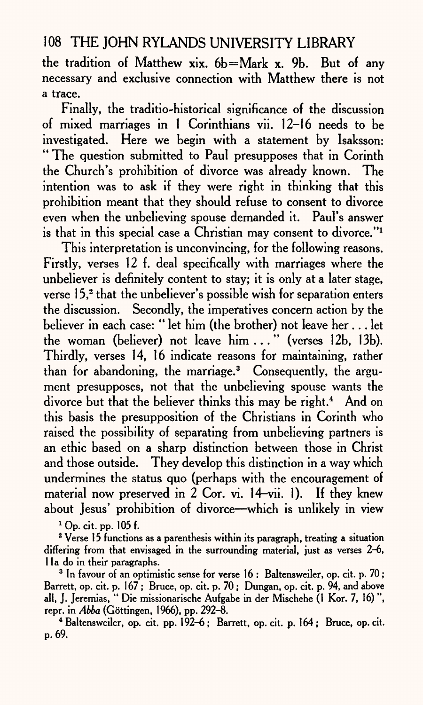the tradition of Matthew xix. 6b=Mark x. 9b. But of any necessary and exclusive connection with Matthew there is not a trace.

Finally, the traditio-historical significance of the discussion of mixed marriages in 1 Corinthians vii. 12-16 needs to be investigated. Here we begin with a statement by Isaksson: " The question submitted to Paul presupposes that in Corinth the Church's prohibition of divorce was already known. The intention was to ask if they were right in thinking that this prohibition meant that they should refuse to consent to divorce even when the unbelieving spouse demanded it. Paul's answer is that in this special case a Christian may consent to divorce."1

This interpretation is unconvincing, for the following reasons. Firstly, verses 12 f. deal specifically with marriages where the unbeliever is definitely content to stay; it is only at a later stage, verse 15,<sup>2</sup> that the unbeliever's possible wish for separation enters the discussion. Secondly, the imperatives concern action by the believer in each case: " let him (the brother) not leave her ... let the woman (believer) not leave him..." (verses 12b, 13b). Thirdly, verses 14, 16 indicate reasons for maintaining, rather than for abandoning, the marriage.3 Consequently, the argument presupposes, not that the unbelieving spouse wants the divorce but that the believer thinks this may be right.<sup>4</sup> And on this basis the presupposition of the Christians in Corinth who raised the possibility of separating from unbelieving partners is an ethic based on a sharp distinction between those in Christ and those outside. They develop this distinction in a way which undermines the status quo (perhaps with the encouragement of material now preserved in 2 Cor. vi. 14-vii. 1). If they knew about Jesus' prohibition of divorce—which is unlikely in view

1 Op. cit. pp. 105 f.

<sup>2</sup> Verse 15 functions as a parenthesis within its paragraph, treating a situation differing from that envisaged in the surrounding material, just as verses 2-6, lla do in their paragraphs.

<sup>3</sup> In favour of an optimistic sense for verse 16 : Baltensweiler, op. cit. p. 70; Barrett, op. cit. p. 167; Bruce, op. cit. p. 70; Dungan, op. cit. p. 94, and above all, J. Jeremias, " Die missionarische Aufgabe in der Mischehe (1 Kor. 7, 16) ", repr. in *Abba* (Gottingen, 1966), pp. 292-8.

4 Baltensweiler, op. cit. pp. 192-6; Barrett, op. cit. p. 164; Bruce, op. cit. p. 69.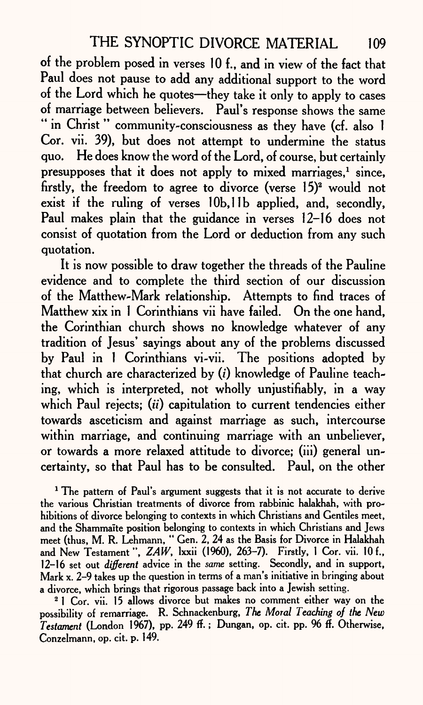of the problem posed in verses 10 f., and in view of the fact that Paul does not pause to add any additional support to the word of the Lord which he quotes-they take it only to apply to cases of marriage between believers. Paul's response shows the same " in Christ" community-consciousness as they have (cf. also 1 Cor. vii. 39), but does not attempt to undermine the status quo. He does know the word of the Lord, of course, but certainly presupposes that it does not apply to mixed marriages.<sup>1</sup> since, firstly, the freedom to agree to divorce (verse 15)<sup>2</sup> would not exist if the ruling of verses 10b, 11b applied, and, secondly, Paul makes plain that the guidance in verses 12-16 does not consist of quotation from the Lord or deduction from any such quotation.

It is now possible to draw together the threads of the Pauline evidence and to complete the third section of our discussion of the Matthew-Mark relationship. Attempts to find traces of Matthew xix in 1 Corinthians vii have failed. On the one hand, the Corinthian church shows no knowledge whatever of any tradition of Jesus' sayings about any of the problems discussed by Paul in 1 Corinthians vi-vii. The positions adopted by that church are characterized by (i) knowledge of Pauline teaching, which is interpreted, not wholly unjustifiably, in a way which Paul rejects; *(it)* capitulation to current tendencies either towards asceticism and against marriage as such, intercourse within marriage, and continuing marriage with an unbeliever, or towards a more relaxed attitude to divorce; (iii) general uncertainty, so that Paul has to be consulted. Paul, on the other

<sup>1</sup> The pattern of Paul's argument suggests that it is not accurate to derive the various Christian treatments of divorce from rabbinic halakhah, with prohibitions of divorce belonging to contexts in which Christians and Gentiles meet, and the Shammaite position belonging to contexts in which Christians and Jews meet (thus, M. R. Lehmann, " Gen. 2, 24 as the Basis for Divorce in Halakhah and New Testament", *ZAW*, *Ixxii* (1960), 263-7). Firstly, 1 Cor. vii. 10 f., 12-16 set out *different* advice in the *same* setting. Secondly, and in support, Mark x. 2-9 takes up the question in terms of a man's initiative in bringing about a divorce, which brings that rigorous passage back into a Jewish setting.

<sup>2</sup> 1 Cor. vii. 15 allows divorce but makes no comment either way on the possibility of remarriage. R. Schnackenburg, *The Moral Teaching of the New Testament* (London 1967), pp. 249 ff.; Dungan, op. cit. pp. 96 ff. Otherwise, Conzelmann, op. cit. p. 149.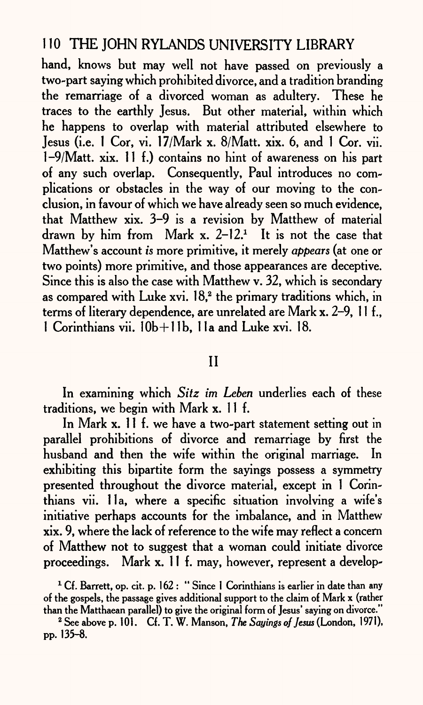hand, knows but may well not have passed on previously a two-part saying which prohibited divorce, and a tradition branding the remarriage of a divorced woman as adultery. These he traces to the earthly Jesus. But other material, within which he happens to overlap with material attributed elsewhere to Jesus (i.e. 1 Cor, vi. 17/Mark x. 8/Matt. xix. 6, and 1 Cor. vii. 1-9/Matt. xix. 11 f.) contains no hint of awareness on his part of any such overlap. Consequently, Paul introduces no complications or obstacles in the way of our moving to the conclusion, in favour of which we have already seen so much evidence, that Matthew xix. 3-9 is a revision by Matthew of material drawn by him from Mark x.  $2-12$ <sup>1</sup> It is not the case that Matthew's account *is* more primitive, it merely *appears* (at one or two points) more primitive, and those appearances are deceptive. Since this is also the case with Matthew v. 32, which is secondary as compared with Luke xvi.  $18<sup>2</sup>$ , the primary traditions which, in terms of literary dependence, are unrelated are Mark x. 2-9, 11 f., 1 Corinthians vii. 10b+l1b, 1 la and Luke xvi. 18.

#### II

In examining which *Sitz im Leben* underlies each of these traditions, we begin with Mark x. 11 f.

In Mark x. 11 f. we have a two-part statement setting out in parallel prohibitions of divorce and remarriage by first the husband and then the wife within the original marriage. In exhibiting this bipartite form the sayings possess a symmetry presented throughout the divorce material, except in 1 Corinthians vii. 11a, where a specific situation involving a wife's initiative perhaps accounts for the imbalance, and in Matthew xix. 9, where the lack of reference to the wife may reflect a concern of Matthew not to suggest that a woman could initiate divorce proceedings. Mark x. 11 f. may, however, represent a develop-

<sup>1</sup> Cf. Barrett, op. cit. p. 162 : " Since 1 Corinthians is earlier in date than any of the gospels, the passage gives additional support to the claim of Mark x (rather than the Matthaean parallel) to give the original form of Jesus' saying on divorce.

2 See above p. 101. Cf. T. W. Manson, *The Sayings of Jesus* (London, 1971), pp. 135-8.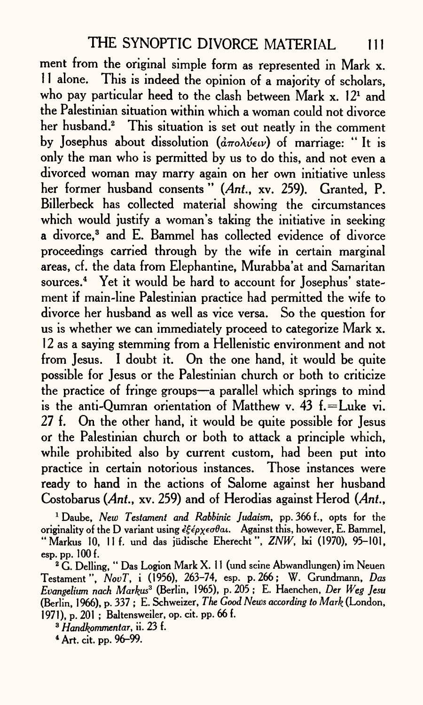ment from the original simple form as represented in Mark x. 11 alone. This is indeed the opinion of a majority of scholars, who pay particular heed to the clash between Mark x. 12<sup>1</sup> and the Palestinian situation within which a woman could not divorce her husband.<sup>2</sup> This situation is set out neatly in the comment by Josephus about dissolution *(απολύειν)* of marriage: "It is only the man who is permitted by us to do this, and not even <sup>a</sup> divorced woman may marry again on her own initiative unless her former husband consents " *(Ant.,* xv. 259). Granted, P. Billerbeck has collected material showing the circumstances which would justify a woman's taking the initiative in seeking a divorce,<sup>3</sup> and E. Bammel has collected evidence of divorce proceedings carried through by the wife in certain marginal areas, cf. the data from Elephantine, Murabba'at and Samaritan sources.4 Yet it would be hard to account for Josephus' statement if main-line Palestinian practice had permitted the wife to divorce her husband as well as vice versa. So the question for us is whether we can immediately proceed to categorize Mark x. 12 as <sup>a</sup>saying stemming from a Hellenistic environment and not from Jesus. I doubt it. On the one hand, it would be quite possible for Jesus or the Palestinian church or both to criticize the practice of fringe groups—a parallel which springs to mind is the anti-Oumran orientation of Matthew v.  $43$  f. = Luke vi. 27 f. On the other hand, it would be quite possible for Jesus or the Palestinian church or both to attack a principle which, while prohibited also by current custom, had been put into practice in certain notorious instances. Those instances were ready to hand in the actions of Salome against her husband Costobarus *(Ant.,* xv. 259) and of Herodias against Herod *(Ant.,*

1 Daube, *New Testament and Rabbinic Judaism,* pp. 366 f., opts for the originality of the D variant using  $\epsilon\xi \epsilon \rho \chi \epsilon \sigma \theta a \iota$ . Against this, however, E. Bammel, "Markus 10, 11 f. und das jiidische Eherecht", *ZNW,* Ixi (1970), 95-101, esp. pp. 100 f.

 $2\hat{G}$ . Delling, " Das Logion Mark X. 11 (und seine Abwandlungen) im Neuen Testament", *NovT,* i (1956), 263-74, esp. p. 266; W. Grundmann, *Das Evangelium nach Markus3* (Berlin, 1965), p. 205 ; E. Haenchen, *Der Weg Jesu*  (Berlin, 1966), p. 337 ; E. Schweizer, *The Good News according to Mark* (London, 1971), p. 201 ; Baltensweiler, op. cit. pp. 66 f.

*3 Handkommentar,* ii. 23 f.

4 Art. cit. pp. 96-99.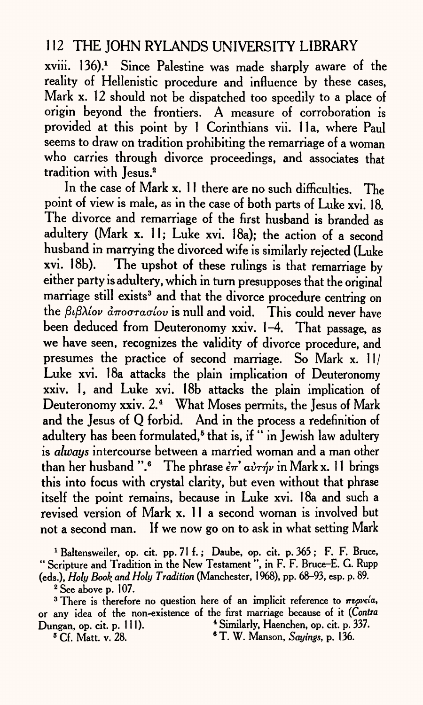$xviii.$  136).<sup>1</sup> Since Palestine was made sharply aware of the reality of Hellenistic procedure and influence by these cases, Mark x. 12 should not be dispatched too speedily to a place of origin beyond the frontiers. A measure of corroboration is provided at this point by 1 Corinthians vii. 11a, where Paul seems to draw on tradition prohibiting the remarriage of a woman who carries through divorce proceedings, and associates that tradition with Jesus.<sup>2</sup>

In the case of Mark x. 11 there are no such difficulties. The point of view is male, as in the case of both parts of Luke xvi. 18. The divorce and remarriage of the first husband is branded as adultery (Mark x. 11; Luke xvi. 18a); the action of a second husband in marrying the divorced wife is similarly rejected (Luke xvi. 18b). The upshot of these rulings is that remarriage by either party is adultery, which in turn presupposes that the original marriage still exists<sup>3</sup> and that the divorce procedure centring on the βιβλίον *αποστασίου* is null and void. This could never have been deduced from Deuteronomy xxiv. 1-4. That passage, as we have seen, recognizes the validity of divorce procedure, and presumes the practice of second marriage. So Mark x. 11/ Luke xvi. 18a attacks the plain implication of Deuteronomy xxiv. 1, and Luke xvi. 18b attacks the plain implication of Deuteronomy xxiv. 2.<sup>4</sup> What Moses permits, the Jesus of Mark and the Jesus of Q forbid. And in the process a redefinition of adultery has been formulated,<sup>5</sup> that is, if " in Jewish law adultery is *always* intercourse between a married woman and a man other than her husband ".<sup>6</sup> The phrase  $\epsilon \pi'$   $\alpha \nu \tau \gamma \nu$  in Mark x. 11 brings this into focus with crystal clarity, but even without that phrase itself the point remains, because in Luke xvi. 18a and such <sup>a</sup> revised version of Mark x. 11 a second woman is involved but not a second man. If we now go on to ask in what setting Mark

<sup>1</sup> Baltensweiler, op. cit. pp. 71 f.; Daube, op. cit. p. 365; F. F. Bruce, " Scripture and Tradition in the New Testament ", in F. F. Bruce-E. G. Rupp (eds.), *Holy Book and Holy Tradition* (Manchester, 1968), pp. 68-93, esp. p. 89.

2 See above p. 107.

<sup>3</sup> There is therefore no question here of an implicit reference to  $\pi\psi\psi$ or any idea of the non-existence of the first marriage because of it *(Contra*  Dungan, op. cit. p. 111). 4 Similarly, Haenchen, op. cit. p. 337.

5 Cf. Matt. v. 28. 6 T. W. Manson, *Sayings,* p. 136.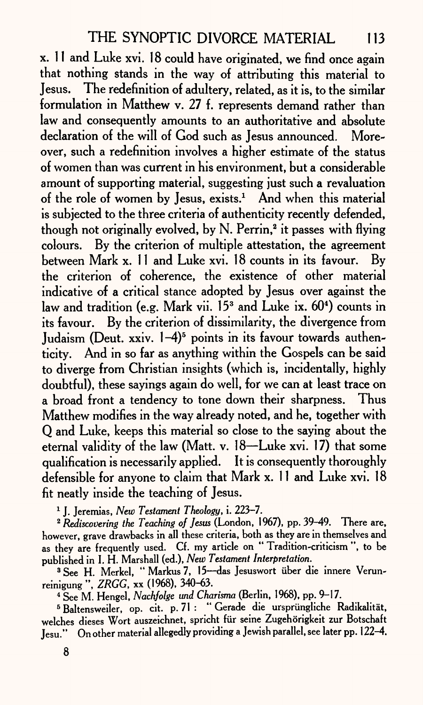x. 11 and Luke xvi. 18 could have originated, we find once again that nothing stands in the way of attributing this material to Jesus. The redefinition of adultery, related, as it is, to the similar formulation in Matthew v. 27 f. represents demand rather than law and consequently amounts to an authoritative and absolute declaration of the will of God such as Jesus announced. Moreover, such a redefinition involves a higher estimate of the status of women than was current in his environment, but a considerable amount of supporting material, suggesting just such a revaluation of the role of women by Jesus, exists.<sup>1</sup> And when this material is subjected to the three criteria of authenticity recently defended, though not originally evolved, by N. Perrin,<sup>2</sup> it passes with flying colours. By the criterion of multiple attestation, the agreemen<sup>t</sup> between Mark x. 11 and Luke xvi. 18 counts in its favour. By the criterion of coherence, the existence of other material indicative of a critical stance adopted by Jesus over against the law and tradition (e.g. Mark vii.  $15<sup>3</sup>$  and Luke ix.  $60<sup>4</sup>$ ) counts in its favour. By the criterion of dissimilarity, the divergence from Judaism (Deut. xxiv. 1-4)<sup>5</sup> points in its favour towards authenticity. And in so far as anything within the Gospels can be said to diverge from Christian insights (which is, incidentally, highly doubtful), these sayings again do well, for we can at least trace on <sup>a</sup>broad front a tendency to tone down their sharpness. Thus Matthew modifies in the way already noted, and he, together with Q and Luke, keeps this material so close to the saying about the eternal validity of the law (Matt. v. 18—Luke xvi. 17) that some qualification is necessarily applied. It is consequently thoroughly defensible for anyone to claim that Mark x. 11 and Luke xvi. 18 fit neatly inside the teaching of Jesus.

1 J. Jeremias, *New Testament Theology,* i. 223-7.

2 *Rediscovering the Teaching of Jesus* (London, 1967), pp. 39-49. There are, however, grave drawbacks in all these criteria, both as they are in themselves and as they are frequently used. Cf. my article on " Tradition-criticism ", to be published in I. H. Marshall (ed.), *New Testament Interpretation.*

<sup>8</sup> See H. Merkel, "Markus 7, 15--das Jesuswort über die innere Verunreinigung ", *ZRGG,* **xx** (1968), 340-63.

4 See M. Hengel, *Nachfolge vnd Charisma* (Berlin, 1968), pp. 9-17.

<sup>5</sup> Baltensweiler, op. cit. p. 71 : " Gerade die ursprüngliche Radikalität. welches dieses Wort auszeichnet, spricht für seine Zugehörigkeit zur Botschaft Jesu." On other material allegedly providing a Jewish parallel, see later pp. 122-4.

8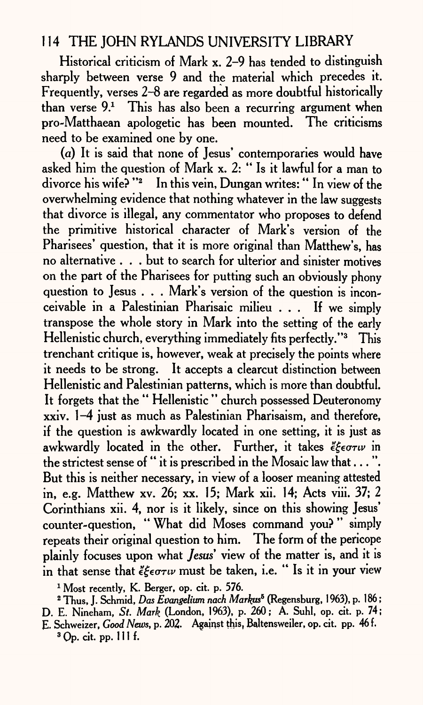Historical criticism of Mark x. 2-9 has tended to distinguish sharply between verse 9 and the material which precedes it. Frequently, verses 2-8 are regarded as more doubtful historically than verse  $9<sup>1</sup>$ . This has also been a recurring argument when pro-Matthaean apologetic has been mounted. The criticisms need to be examined one by one.

(a) It is said that none of Jesus' contemporaries would have asked him the question of Mark x. 2: " Is it lawful for a man to divorce his wife? "2 In this vein, Dungan writes:" In view of the overwhelming evidence that nothing whatever in the law suggests that divorce is illegal, any commentator who proposes to defend the primitive historical character of Mark's version of the Pharisees' question, that it is more original than Matthew's, has no alternative . . . but to search for ulterior and sinister motives on the part of the Pharisees for putting such an obviously phony question to Jesus . . . Mark's version of the question is inconceivable in a Palestinian Pharisaic milieu ... If we simply transpose the whole story in Mark into the setting of the early Hellenistic church, everything immediately fits perfectly."<sup>3</sup> This trenchant critique is, however, weak at precisely the points where it needs to be strong. It accepts a clearcut distinction between Hellenistic and Palestinian patterns, which is more than doubtful. It forgets that the " Hellenistic " church possessed Deuteronomy xxiv. 1-4 just as much as Palestinian Pharisaism, and therefore, if the question is awkwardly located in one setting, it is just as awkwardly located in the other. Further, it takes *egentu* in the strictest sense of " it is prescribed in the Mosaic law that . . . ". But this is neither necessary, in view of a looser meaning attested in, e.g. Matthew xv. 26; xx. 15; Mark xii. 14; Acts viii. 37; 2 Corinthians xii. 4, nor is it likely, since on this showing Jesus' counter-question, " What did Moses command you? " simply repeats their original question to him. The form of the pericope plainly focuses upon what *Jesus'* view of the matter is, and it is in that sense that *egeanv* must be taken, i.e. " Is it in your view

<sup>1</sup> Most recently, K. Berger, op. cit. p. 576.

<sup>2</sup> Thus, J. Schmid, Das Evangelium nach Markus<sup>5</sup> (Regensburg, 1963), p. 186; D. E. Nineham, *St. Mark* (London, 1963), p. 260; A. Suhl, op. cit. p. 74; E. Schweizer, *Good News,* p. 202. Against this, Bajtensweiler, op. cit. pp. 46 f.  $3$  Op. cit. pp. 111 f.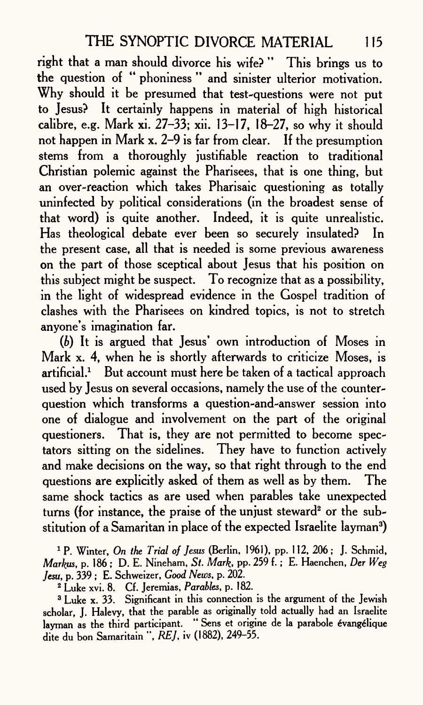right that a man should divorce his wife? " This brings us to the question of " phoniness " and sinister ulterior motivation. Why should it be presumed that test-questions were not put to Jesus? It certainly happens in material of high historical calibre, e.g. Mark xi. 27-33; xii. 13-17, 18-27, so why it should not happen in Mark x. 2-9 is far from clear. If the presumption stems from a thoroughly justifiable reaction to traditional Christian polemic against the Pharisees, that is one thing, but an over-reaction which takes Pharisaic questioning as totally uninfected by political considerations (in the broadest sense of that word) is quite another. Indeed, it is quite unrealistic. Has theological debate ever been so securely insulated? In the present case, all that is needed is some previous awareness on the part of those sceptical about Jesus that his position on this subject might be suspect. To recognize that as a possibility, in the light of widespread evidence in the Gospel tradition of clashes with the Pharisees on kindred topics, is not to stretch anyone's imagination far.

*(b)* It is argued that Jesus' own introduction of Moses in Mark x. 4, when he is shortly afterwards to criticize Moses, is artificial.<sup>1</sup> But account must here be taken of a tactical approach used by Jesus on several occasions, namely the use of the counterquestion which transforms a question-and-answer session into one of dialogue and involvement on the part of the original questioners. That is, they are not permitted to become spectators sitting on the sidelines. They have to function actively and make decisions on the way, so that right through to the end questions are explicitly asked of them as well as by them. The same shock tactics as are used when parables take unexpected turns (for instance, the praise of the unjust steward<sup>2</sup> or the substitution of a Samaritan in place of the expected Israelite layman3)

1 P. Winter, *On the Trial of Jesus* (Berlin, 1961), pp. 112, 206 ; J. Schmid, *Markus, p.* 186 ; D. E. Nineham, *St. Mark, pp.* 259 f.; E. Haenchen, *Der Weg Jesu, p.* 339 ; E. Schweizer, *Good News, p.* 202.

2 Luke xvi. 8. Cf. Jeremias, *Parables, p.* 182.

<sup>3</sup> Luke x. 33. Significant in this connection is the argument of the Jewish scholar, J. Halevy, that the parable as originally told actually had an Israelite layman as the third participant. "Sens et origine de la parabole évangélique dite du bon Samaritain ", *RE],* iv (1882), 249-55.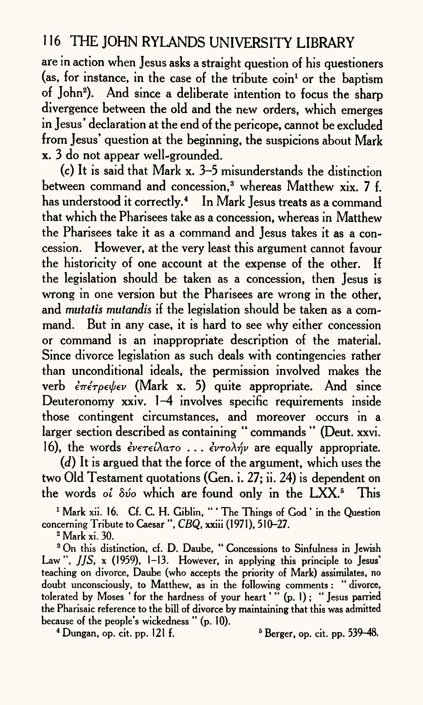are in action when Jesus asks a straight question of his questioners (as, for instance, in the case of the tribute  $\operatorname{coin}^1$  or the baptism of John<sup>2</sup>). And since a deliberate intention to focus the sharp divergence between the old and the new orders, which emerges in Jesus' declaration at the end of the pericope, cannot be excluded from Jesus' question at the beginning, the suspicions about Mark x. 3 do not appear well-grounded.

(c) It is said that Mark x. 3-5 misunderstands the distinction between command and concession,<sup>3</sup> whereas Matthew xix. 7 f. has understood it correctly.<sup>4</sup> In Mark Jesus treats as a command that which the Pharisees take as a concession, whereas in Matthew the Pharisees take it as a command and Jesus takes it as a concession. However, at the very least this argument cannot favour the historicity of one account at the expense of the other. If the legislation should be taken as a concession, then Jesus is wrong in one version but the Pharisees are wrong in the other, and *mutatis mutandis* if the legislation should be taken as a command. But in any case, it is hard to see why either concession or command is an inappropriate description of the material. Since divorce legislation as such deals with contingencies rather than unconditional ideals, the permission involved makes the verb *επέτρεψεν* (Mark x. 5) quite appropriate. And since Deuteronomy xxiv. 1-4 involves specific requirements inside those contingent circumstances, and moreover occurs in <sup>a</sup> larger section described as containing " commands " (Deut. xxvi. 16), the words  $\partial \epsilon v \in \partial \Omega$  ...  $\partial \epsilon v \in \partial \gamma$  are equally appropriate.

*(d)* It is argued that the force of the argument, which uses the two Old Testament quotations (Gen. i. 27; ii. 24) is dependent on the words *oi 8vo* which are found only in the LXX.5 This

<sup>1</sup> Mark xii. 16. Cf. C. H. Giblin, "' The Things of God ' in the Question concerning Tribute to Caesar ", *CBQ,* xxiii (1971), 510-27.

2 Mark xi. 30.

<sup>3</sup> On this distinction, cf. D. Daube, " Concessions to Sinfulness in Jewish Law", *JJS*, x (1959), 1-13. However, in applying this principle to Jesus' teaching on divorce, Daube (who accepts the priority of Mark) assimilates, no doubt unconsciously, to Matthew, as in the following comments : " divorce, tolerated by Moses ' for the hardness of your heart' " (p. 1) ; " Jesus parried the Pharisaic reference to the bill of divorce by maintaining that this was admitted because of the people's wickedness " (p. 10).

 $4$  Dungan, op. cit. pp. 121 f.  $539-48$ .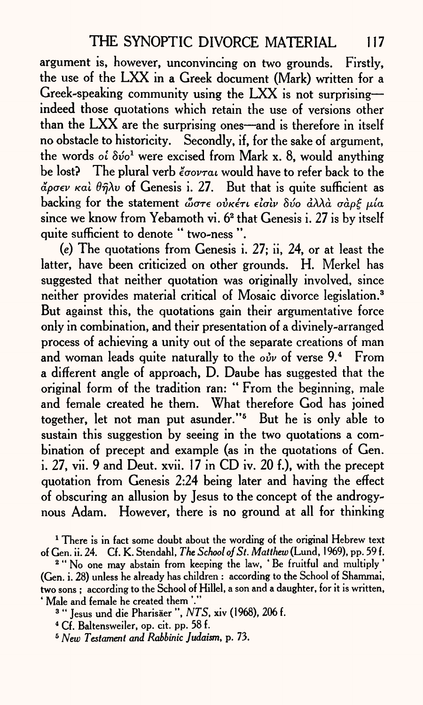argument is, however, unconvincing on two grounds. Firstly, the use of the LXX in a Greek document (Mark) written for <sup>a</sup> Greek-speaking community using the LXX is not surprising indeed those quotations which retain the use of versions other than the  $LXX$  are the surprising ones—and is therefore in itself no obstacle to historicity. Secondly, if, for the sake of argument, the words *of*  $\delta v'$  were excised from Mark x. 8, would anything be lost? The plural verb  $\epsilon \sim \epsilon$  would have to refer back to the  $\phi$ <sub>*a*</sub> $\rho$ <sub>*c*</sub> $\nu$  *Kal*  $\theta$  $\hat{\eta}$  $\lambda\nu$  of Genesis i. 27. But that is quite sufficient as backing for the statement ώστε οὐκέτι εἰσὶν δύο ἀλλὰ σὰρξ μία since we know from Yebamoth vi. 6<sup>2</sup> that Genesis i. 27 is by itself quite sufficient to denote " two-ness ".

*(e)* The quotations from Genesis i. 27; ii, 24, or at least the latter, have been criticized on other grounds. H. Merkel has suggested that neither quotation was originally involved, since neither provides material critical of Mosaic divorce legislation.<sup>3</sup> But against this, the quotations gain their argumentative force only in combination, and their presentation of a divinely-arranged process of achieving a unity out of the separate creations of man and woman leads quite naturally to the *ouv* of verse 9.<sup>4</sup> From <sup>a</sup>different angle of approach, D. Daube has suggested that the original form of the tradition ran: " From the beginning, male and female created he them. What therefore God has joined together, let not man put asunder."5 But he is only able to sustain this suggestion by seeing in the two quotations a combination of precept and example (as in the quotations of Gen. i. 27, vii. 9 and Deut. xvii. 17 in CD iv. 20 f.), with the precep<sup>t</sup> quotation from Genesis 2:24 being later and having the effect of obscuring an allusion by Jesus to the concept of the androgynous Adam. However, there is no ground at all for thinking

<sup>1</sup> There is in fact some doubt about the wording of the original Hebrew text of Gen. ii. 24. Cf. K. Stendahl, *The School of St. Matthew* (Lund, 1969), pp. 59 f.

<sup>2</sup> "No one may abstain from keeping the law, 'Be fruitful and multiply' (Gen. i. 28) unless he already has children : according to the School of Shammai, two sons; according to the School of Hillel, a son and a daughter, for it is written. ' Male and female he created them '."

3 " Jesus und die Pharisaer ", *NTS,* xiv (1968), 206 f.

4 Cf. Baltensweiler, op. cit. pp. 58 f.

6 *New Testament and Rabbinic Judaism,* p. 73.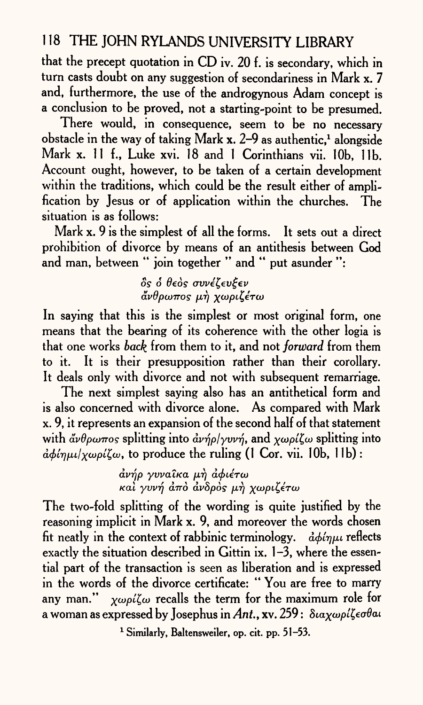that the precept quotation in CD iv. 20 f. is secondary, which in turn casts doubt on any suggestion of secondariness in Mark x. 7 and, furthermore, the use of the androgynous Adam concept is a conclusion to be proved, not a starting-point to be presumed.

There would, in consequence, seem to be no necessary obstacle in the way of taking Mark x. 2-9 as authentic,<sup>1</sup> alongside Mark x. 11 f., Luke xvi. 18 and 1 Corinthians vii. lOb, lib. Account ought, however, to be taken of a certain development within the traditions, which could be the result either of amplification by Jesus or of application within the churches. The situation is as follows:

Mark x. 9 is the simplest of all the forms. It sets out a direct prohibition of divorce by means of an antithesis between God and man, between " join together " and " put asunder ":

> $\delta$ *ς δ* θεός συνέζευξεν άνθρωπος μή χωριζέτω

In saying that this is the simplest or most original form, one means that the bearing of its coherence with the other logia is that one works *back* from them to it, and not *forward* from them to it. It is their presupposition rather than their corollary. It deals only with divorce and not with subsequent remarriage.

The next simplest saying also has an antithetical form and is also concerned with divorce alone. As compared with Mark x. 9, it represents an expansion of the second half of that statement with  $\mathbf{\dot{\alpha}}\nu\theta\rho\omega\pi$ os splitting into  $\mathbf{\dot{\alpha}}\nu\mathbf{\dot{\eta}}\rho/\gamma v\nu\mathbf{\dot{\eta}}$ , and  $\chi\omega\rho\mathbf{\dot{\alpha}}\zeta\omega$  splitting into  $d/dm\mu l \chi \omega \rho l \chi \omega$ , to produce the ruling (1 Cor. vii. 10b, 11b):

> $\frac{d\psi}{\rho}$  *yvva*<sup>2</sup>κa μή αφιέτω *Kai γυνή από ανδρός μή χωριζέτω*

The two-fold splitting of the wording is quite justified by the reasoning implicit in Mark x. 9, and moreover the words chosen fit neatly in the context of rabbinic terminology.  $\frac{\partial}{\partial \phi}$ *ingu* reflects exactly the situation described in Gittin ix. 1-3, where the essential part of the transaction is seen as liberation and is expressed in the words of the divorce certificate: " You are free to marry any man."  $\chi \omega \rho i \zeta \omega$  recalls the term for the maximum role for <sup>a</sup>woman as expressed by Josephus in *Ant.,* xv. 259 :

1 Similarly, Baltensweiler, op. cit. pp. 51-53.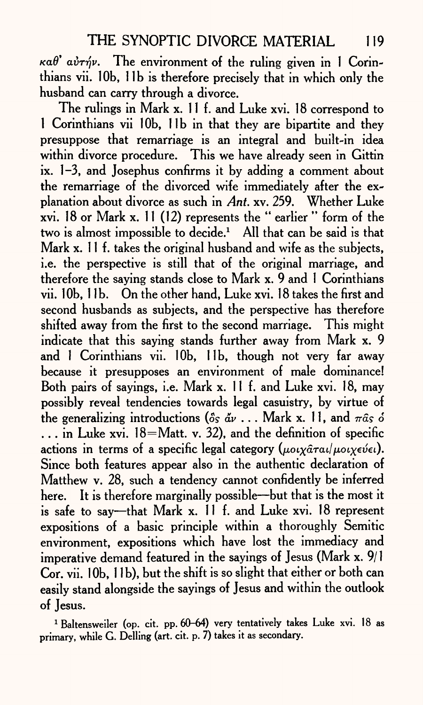$\kappa a\theta$ <sup>'</sup>  $a\dot{v}\tau\dot{\eta}\nu$ . The environment of the ruling given in 1 Corinthians vii. 10b, 11b is therefore precisely that in which only the husband can carry through a divorce.

The rulings in Mark x. 11 f. and Luke xvi. 18 correspond to 1 Corinthians vii 10b, 11b in that they are bipartite and they presuppose that remarriage is an integral and built-in idea within divorce procedure. This we have already seen in Gittin ix. 1-3, and Josephus confirms it by adding a comment about the remarriage of the divorced wife immediately after the explanation about divorce as such in *Ant.* xv. 259. Whether Luke xvi. 18 or Mark x. 11 (12) represents the " earlier " form of the two is almost impossible to decide.<sup>1</sup> All that can be said is that Mark x. 11 f. takes the original husband and wife as the subjects, i.e. the perspective is still that of the original marriage, and therefore the saying stands close to Mark x. 9 and 1 Corinthians vii. 10b, 11b. On the other hand, Luke xvi. 18 takes the first and second husbands as subjects, and the perspective has therefore shifted away from the first to the second marriage. This might indicate that this saying stands further away from Mark x. 9 and 1 Corinthians vii. 10b, 11b, though not very far away because it presupposes an environment of male dominance! Both pairs of sayings, i.e. Mark x. 11 f. and Luke xvi. 18, may possibly reveal tendencies towards legal casuistry, by virtue of the generalizing introductions  $(\delta s \, d\mathbf{v} \cdot \cdot \cdot)$ . Mark x. 11, and  $\pi \hat{a} s \, \delta$  $\ldots$  in Luke xvi. 18=Matt. v. 32), and the definition of specific actions in terms of a specific legal category  $(\mu o_i \chi \hat{a} \tau a_i/\mu o_i \chi \epsilon \hat{v} \epsilon \mu)$ . Since both features appear also in the authentic declaration of Matthew v. 28, such a tendency cannot confidently be inferred here. It is therefore marginally possible—but that is the most it is safe to say—that Mark x. 11 f. and Luke xvi. 18 represent expositions of a basic principle within a thoroughly Semitic environment, expositions which have lost the immediacy and imperative demand featured in the sayings of Jesus (Mark x. 9/1 Cor. vii. 10b, 11b), but the shift is so slight that either or both can easily stand alongside the sayings of Jesus and within the outlook of Jesus.

<sup>1</sup> Baltensweiler (op. cit. pp. 60-64) very tentatively takes Luke xvi. 18 as primary, while G. Delling (art. cit. p. 7) takes it as secondary.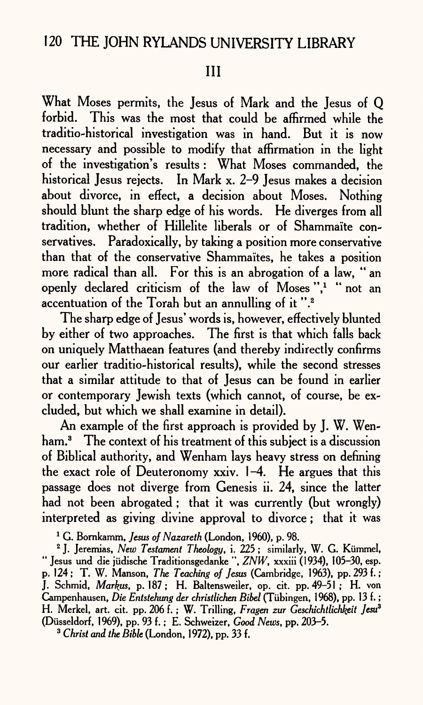### III

What Moses permits, the Jesus of Mark and the Jesus of Q forbid. This was the most that could be affirmed while the traditio-historical investigation was in hand. But it is now necessary and possible to modify that affirmation in the light of the investigation's results : What Moses commanded, the historical Jesus rejects. In Mark x. 2-9 Jesus makes a decision about divorce, in effect, a decision about Moses. Nothing should blunt the sharp edge of his words. He diverges from all tradition, whether of Hillelite liberals or of Shammaite conservatives. Paradoxically, by taking a position more conservative than that of the conservative Shammaïtes, he takes a position more radical than all. For this is an abrogation of a law, " an openly declared criticism of the law of Moses"," "not an accentuation of the Torah but an annulling of it ".2

The sharp edge of Jesus' words is, however, effectively blunted by either of two approaches. The first is that which falls back on uniquely Matthaean features (and thereby indirectly confirms our earlier traditio-historical results), while the second stresses that a similar attitude to that of Jesus can be found in earlier or contemporary Jewish texts (which cannot, of course, be excluded, but which we shall examine in detail).

An example of the first approach is provided by J. W. Wenham.<sup>3</sup> The context of his treatment of this subject is a discussion of Biblical authority, and Wenham lays heavy stress on defining the exact role of Deuteronomy xxiv. 1-4. He argues that this passage does not diverge from Genesis ii. 24, since the latter had not been abrogated ; that it was currently (but wrongly) interpreted as giving divine approval to divorce; that it was

1 G. Bornkamm, *Jesus of Nazareth* (London, 1960), p. 98.

2 J. Jeremias, *New Testament Theology,* i. 225 ; similarly, W. G. Kiimmel, " Jesus und die jiidische Traditionsgedanke ", *ZNW,* xxxiii (1934), 105-30, esp. p. 124; T. W. Manson, *The Teaching of Jesus* (Cambridge, 1963), pp. 293 f.; J. Schmid, *Markus,* p. 187; H. Baltensweiler, op. cit. pp. 49-51 ; H. von Campenhausen, *Die Entstehung der christlichen Bibel* (Tubingen, 1968), pp. 13 f.; H. Merkel, art. cit. pp. 206 f. ; W. Trilling, *Fragen zur Geschichtlichkeit Jesu\**  (Diisseldorf, 1969), pp. 93 f.; E. Schweizer, *Good News,* pp. 203-5.

*3 Christ and the Bible* (London, 1972), pp. 33 f.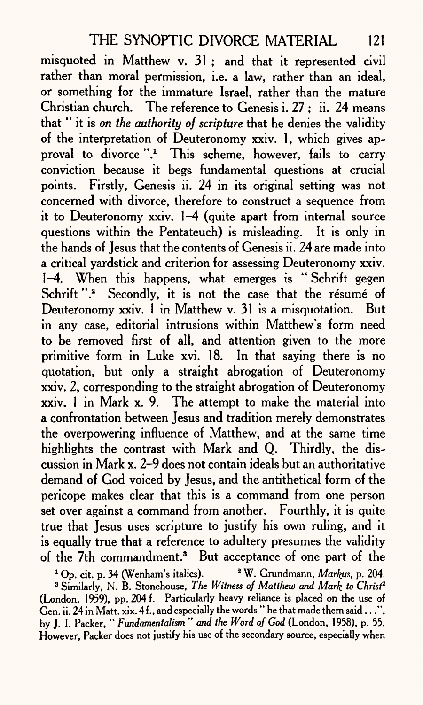misquoted in Matthew v. 31 ; and that it represented civil rather than moral permission, i.e. a law, rather than an ideal, or something for the immature Israel, rather than the mature Christian church. The reference to Genesis i. 27 ; ii. 24 means that " it is *on the authority of scripture* that he denies the validity of the interpretation of Deuteronomy xxiv. 1, which gives approval to divorce ".<sup>1</sup> This scheme, however, fails to carry conviction because it begs fundamental questions at crucial points. Firstly, Genesis ii. 24 in its original setting was not concerned with divorce, therefore to construct a sequence from it to Deuteronomy xxiv. 1-4 (quite apart from internal source questions within the Pentateuch) is misleading. It is only in the hands of Jesus that the contents of Genesis ii. 24 are made into a critical yardstick and criterion for assessing Deuteronomy xxiv. 1-4. When this happens, what emerges is " Schrift gegen Schrift ".<sup>2</sup> Secondly, it is not the case that the résumé of Deuteronomy xxiv. 1 in Matthew v. 31 is a misquotation. But in any case, editorial intrusions within Matthew's form need to be removed first of all, and attention given to the more primitive form in Luke xvi. 18. In that saying there is no quotation, but only a straight abrogation of Deuteronomy xxiv. 2, corresponding to the straight abrogation of Deuteronomy xxiv. 1 in Mark x. 9. The attempt to make the material into a confrontation between Jesus and tradition merely demonstrates the overpowering influence of Matthew, and at the same time highlights the contrast with Mark and Q. Thirdly, the discussion in Mark x. 2-9 does not contain ideals but an authoritative demand of God voiced by Jesus, and the antithetical form of the pericope makes clear that this is a command from one person set over against a command from another. Fourthly, it is quite true that Jesus uses scripture to justify his own ruling, and it is equally true that a reference to adultery presumes the validity of the 7th commandment.3 But acceptance of one part of the

1 Op. cit. p. 34 (Wenham's italics). 2 W. Grundmann, *Markus,* p. 204. 3 Similarly, N. B. Storehouse, *The Witness of Matthew and Mark to Christ2*  (London, 1959), pp. 204 f. Particularly heavy reliance is placed on the use of Gen. ii. 24 in Matt. xix. 4 f., and especially the words " he that made them said...", by J. I. Packer, " *Fundamentalism " and the Word of God* (London, 1958), p. 55. However, Packer does not justify his use of the secondary source, especially when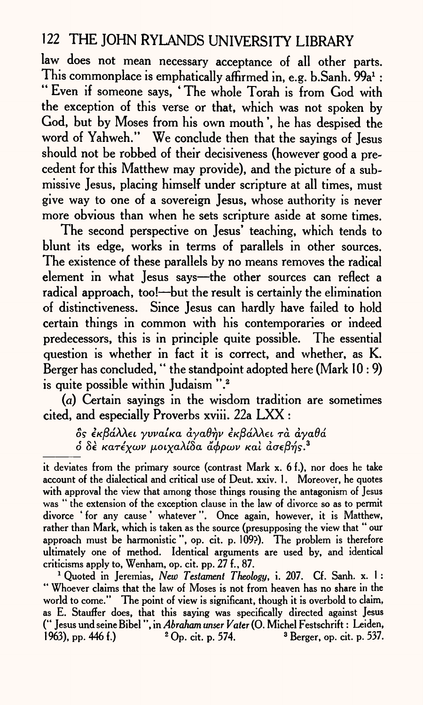law does not mean necessary acceptance of all other parts. This commonplace is emphatically affirmed in, e.g. b.Sanh. 99a<sup>1</sup>: " Even if someone says, \* The whole Torah is from God with the exception of this verse or that, which was not spoken by God, but by Moses from his own mouth ', he has despised the word of Yahweh." We conclude then that the sayings of Jesus should not be robbed of their decisiveness (however good a precedent for this Matthew may provide), and the picture of a submissive Jesus, placing himself under scripture at all times, must give way to one of a sovereign Jesus, whose authority is never more obvious than when he sets scripture aside at some times.

The second perspective on Jesus' teaching, which tends to blunt its edge, works in terms of parallels in other sources. The existence of these parallels by no means removes the radical element in what Jesus says-the other sources can reflect a radical approach, too! $\rightarrow$ but the result is certainly the elimination of distinctiveness. Since Jesus can hardly have failed to hold certain things in common with his contemporaries or indeed predecessors, this is in principle quite possible. The essential question is whether in fact it is correct, and whether, as K. Berger has concluded, " the standpoint adopted here (Mark 10:9) is quite possible within Judaism".<sup>2</sup>

 $(a)$  Certain sayings in the wisdom tradition are sometimes cited, and especially Proverbs xviii. 22a LXX :

*os* Kj8aAAet *yvvaiKa dyadrjv* e/CjSaAAet *ra dyadd*   $\delta$  δε κατέγων μοιγαλίδα άφρων και ασεβής.<sup>3</sup>

it deviates from the primary source (contrast Mark x. 6 f.), nor does he take account of the dialectical and critical use of Deut. xxiv. 1. Moreover, he quotes with approval the view that among those things rousing the antagonism of Jesus was " the extension of the exception clause in the law of divorce so as to permit divorce ' for any cause' whatever". Once again, however, it is Matthew, rather than Mark, which is taken as the source (presupposing the view that " our approach must be harmonistic ", op. cit. p. 109?). The problem is therefore ultimately one of method. Identical arguments are used by, and identical criticisms apply to, Wenham, op. cit. pp. 27 f., 87.

<sup>1</sup> Quoted in Jeremias, *New Testament Theology,* i. 207. Cf. Sanh. x. 1 : " Whoever claims that the law of Moses is not from heaven has no share in the world to come." The point of view is significant, though it is overbold to claim, as E. Stauffer does, that this saying was specifically directed against Jesus (" Jesus und seine Bibel ", in *Abraham imser Vater* (0. Michel Festschrift : Leiden, 1963), pp. 446 f.)  ${}^{2}$  Op. cit. p. 574.  ${}^{3}$  Berger, op. cit. p. 537.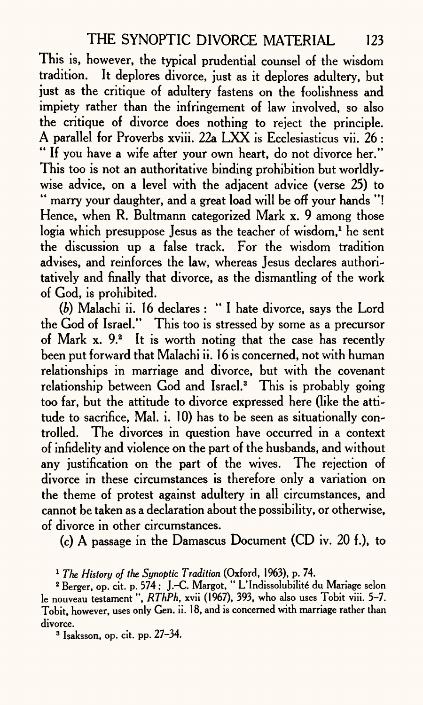This is, however, the typical prudential counsel of the wisdom tradition. It deplores divorce, just as it deplores adultery, but just as the critique of adultery fastens on the foolishness and impiety rather than the infringement of law involved, so also the critique of divorce does nothing to reject the principle. A parallel for Proverbs xviii. 22a LXX is Ecclesiasticus vii. 26 : \*' If you have a wife after your own heart, do not divorce her." This too is not an authoritative binding prohibition but worldlywise advice, on a level with the adjacent advice (verse 25) to " marry your daughter, and a great load will be off your hands "! Hence, when R. Bultmann categorized Mark x. 9 among those logia which presuppose Jesus as the teacher of wisdom,<sup>1</sup> he sent the discussion up a false track. For the wisdom tradition advises, and reinforces the law, whereas Jesus declares authoritatively and finally that divorce, as the dismantling of the work of God, is prohibited.

*(b)* Malachi ii. 16 declares : " I hate divorce, says the Lord the God of Israel." This too is stressed by some as a precursor of Mark  $x$ .  $9<sup>2</sup>$  It is worth noting that the case has recently been put forward that Malachi ii. 16 is concerned, not with human relationships in marriage and divorce, but with the covenant relationship between God and Israel.<sup>3</sup> This is probably going too far, but the attitude to divorce expressed here (like the attitude to sacrifice, Mal. i. 10) has to be seen as situationally controlled. The divorces in question have occurred in a context of infidelity and violence on the part of the husbands, and without any justification on the part of the wives. The rejection of divorce in these circumstances is therefore only a variation on the theme of protest against adultery in all circumstances, and cannot be taken as a declaration about the possibility, or otherwise, of divorce in other circumstances.

(c) A passage in the Damascus Document (CD iv. 20 f.), to

3 Isaksson, op. cit. pp. 27-34.

<sup>1</sup>*The History of the Synoptic Tradition* (Oxford, 1963), p. 74.

<sup>&</sup>lt;sup>2</sup> Berger, op. cit. p. 574 ; J.-C. Margot, "L'Indissolubilité du Mariage selon le nouveau testament ", *RThPh,* xvii (1967), 393, who also uses Tobit viii. 5-7. Tobit, however, uses only Gen. ii. 18, and is concerned with marriage rather than divorce.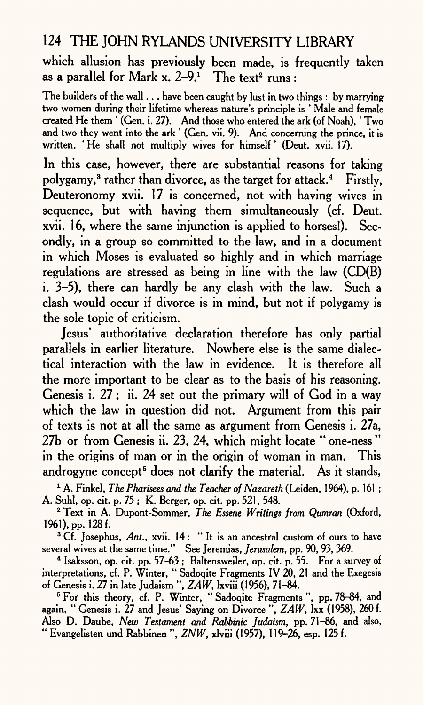which allusion has previously been made, is frequently taken as a parallel for Mark x.  $2-9.1$  The text<sup>2</sup> runs :

The builders of the wall  $\ldots$  have been caught by lust in two things : by marrying two women during their lifetime whereas nature's principle is ' Male and female created He them ' (Gen. i. 27). And those who entered the ark (of Noah),' Two and two they went into the ark ' (Gen. vii. 9). And concerning the prince, it is written, 'He shall not multiply wives for himself' (Deut. xvii. 17).

In this case, however, there are substantial reasons for taking polygamy, 3 rather than divorce, as the target for attack.4 Firstly, Deuteronomy xvii. 17 is concerned, not with having wives in sequence, but with having them simultaneously (cf. Deut. xvii. 16, where the same injunction is applied to horses!). Secondly, in <sup>a</sup>group so committed to the law, and in a document in which Moses is evaluated so highly and in which marriage regulations are stressed as being in line with the law (CD(B) i. 3-5), there can hardly be any clash with the law. Such <sup>a</sup> clash would occur if divorce is in mind, but not if polygamy is the sole topic of criticism.

Jesus' authoritative declaration therefore has only partial parallels in earlier literature. Nowhere else is the same dialectical interaction with the law in evidence. It is therefore all the more important to be clear as to the basis of his reasoning. Genesis i. 27; ii. 24 set out the primary will of God in a way which the law in question did not. Argument from this pair of texts is not at all the same as argument from Genesis i. 27a, 27b or from Genesis ii. 23, 24, which might locate " one-ness " in the origins of man or in the origin of woman in man. This androgyne concept<sup>5</sup> does not clarify the material. As it stands,

1 A. Finkel, *The Pharisees and the Teacher of Nazareth* (Leiden, 1964), p. 161 ; A. Suhl, op. cit. p. 75 ; K. Berger, op. cit. pp. 521, 548.

2 Text in A. Dupont-Sommer, *The Essene Writings from Qumran* (Oxford, 1961), pp. 128 f.

<sup>3</sup> Cf. Josephus, Ant., xvii. 14: "It is an ancestral custom of ours to have several wives at the same time." See Jeremias, *Jerusalem,* pp. 90, 93, 369.

<sup>4</sup> Isaksson, op. cit. pp. 57-63; Baltensweiler, op. cit. p. 55. For a survey of interpretations, cf. P. Winter, " Sadoqite Fragments IV 20, 21 and the Exegesis of Genesis i. 27 in late Judaism ", *ZAW,* Ixviii (1956), 71-84.

<sup>5</sup> For this theory, cf. P. Winter, "Sadoqite Fragments", pp. 78-84, and again, " Genesis i. 27 and Jesus' Saying on Divorce ", *ZAW,* Ixx (1958), 260 f. Also D. Daube, *New Testament and Rabbinic Judaism,* pp. 71-86, and also, " Evangelisten und Rabbinen ", *ZNW,* xlviii (1957), 119-26, esp. 125 f.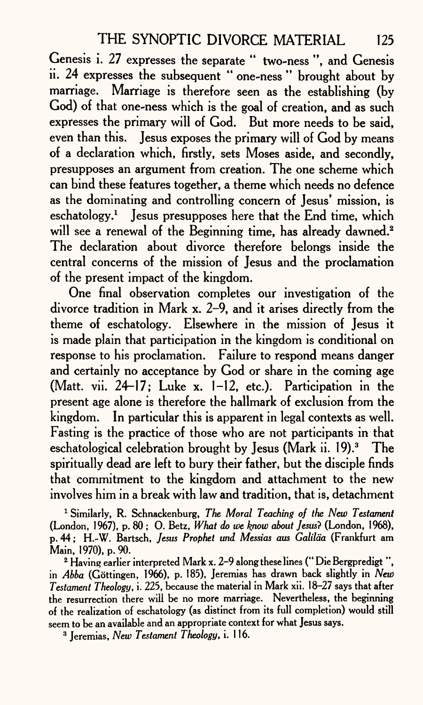Genesis i. 27 expresses the separate " two-ness ", and Genesis ii. 24 expresses the subsequent " one-ness " brought about by marriage. Marriage is therefore seen as the establishing (by God) of that one-ness which is the goal of creation, and as such expresses the primary will of God. But more needs to be said, even than this. Jesus exposes the primary will of God by means of a declaration which, firstly, sets Moses aside, and secondly, presupposes an argument from creation. The one scheme which can bind these features together, a theme which needs no defence as the dominating and controlling concern of Jesus' mission, is eschatology.1 Jesus presupposes here that the End time, which will see a renewal of the Beginning time, has already dawned.<sup>2</sup> The declaration about divorce therefore belongs inside the central concerns of the mission of Jesus and the proclamation of the present impact of the kingdom.

One final observation completes our investigation of the divorce tradition in Mark x. 2-9, and it arises directly from the theme of eschatology. Elsewhere in the mission of Jesus it is made plain that participation in the kingdom is conditional on response to his proclamation. Failure to respond means danger and certainly no acceptance by God or share in the coming age (Matt. vii. 24-17; Luke x. 1-12, etc.). Participation in the present age alone is therefore the hallmark of exclusion from the kingdom. In particular this is apparent in legal contexts as well. Fasting is the practice of those who are not participants in that eschatological celebration brought by Jesus (Mark ii. 19).<sup>3</sup> The spiritually dead are left to bury their father, but the disciple finds that commitment to the kingdom and attachment to the new involves him in a break with law and tradition, that is, detachment

1 Similarly, R. Schnackenburg, *The Moral Teaching of the New Testament*  (London, 1967), p. 80 ; 0. Betz, *What do we know about Jesus'?* (London, 1968), p. 44; H.-W. Bartsch, *Jesus Prophet und Messias aus Galilda* (Frankfurt am Main, 1970), p. 90.

2 Having earlier interpreted Mark x. 2-9 along these lines (" Die Bergpredigt ", in *Abba* (Gottingen, 1966), p. 185), Jeremias has drawn back slightly in *New Testament Theology,* i. 225, because the material in Mark xii. 18-27 says that after the resurrection there will be no more marriage. Nevertheless, the beginning of the realization of eschatology (as distinct from its full completion) would still seem to be an available and an appropriate context for what Jesus says.

3 Jeremias, *New Testament Theology,* i. 116.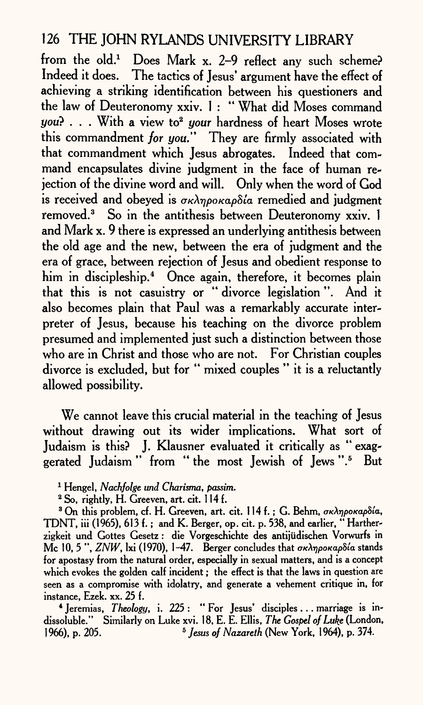from the old.1 Does Mark x. 2-9 reflect any such scheme? Indeed it does. The tactics of Jesus' argument have the effect of achieving a striking identification between his questioners and the law of Deuteronomy xxiv. 1 : What did Moses command you? . . . With a view to<sup>2</sup> your hardness of heart Moses wrote this commandment *for you."* They are firmly associated with that commandment which Jesus abrogates. Indeed that command encapsulates divine judgment in the face of human rejection of the divine word and will. Only when the word of God is received and obeyed is  $\sigma\kappa\lambda\eta\rho\sigma\kappa\alpha\rho\delta\iota$  remedied and judgment removed.<sup>3</sup> So in the antithesis between Deuteronomy xxiv. 1 and Mark x. 9 there is expressed an underlying antithesis between the old age and the new, between the era of judgment and the era of grace, between rejection of Jesus and obedient response to him in discipleship.<sup>4</sup> Once again, therefore, it becomes plain that this is not casuistry or " divorce legislation ". And it also becomes plain that Paul was a remarkably accurate interpreter of Jesus, because his teaching on the divorce problem presumed and implemented just such a distinction between those who are in Christ and those who are not. For Christian couples divorce is excluded, but for " mixed couples " it is a reluctantly allowed possibility.

We cannot leave this crucial material in the teaching of Jesus without drawing out its wider implications. What sort of Judaism is this? J. Klausner evaluated it critically as " exaggerated Judaism " from "the most Jewish of Jews ".<sup>5</sup> But

4 Jeremias, *Theology,* i. 225 : " For Jesus' disciples ... marriage is indissoluble." Similarly on Luke xvi. 18, E. E. Ellis, *The. Gospel of Luke* (London, 1966), p. 205. 5 *Jesus of Nazareth* (New York, 1964), p. 374.

<sup>1</sup> Hengel, *Nachfolge und Charisma, passim.*

<sup>2</sup> So, rightly, H. Greeven, art. cit. 114 f.

<sup>&</sup>lt;sup>3</sup> On this problem, cf. H. Greeven, art. cit. 114 f.; G. Behm, *σκληροκαρδία*, TDNT,  $\overline{iii}$  (1965), 613 f.; and K. Berger, op. cit. p. 538, and earlier, "Hartherzigkeit und Gottes Gesetz : die Vorgeschichte des antijiidischen Vorwurfs in Mc 10, 5", *ZNW*, lxi (1970), 1-47. Berger concludes that *a*<sub>R</sub> $\lambda$ npoKapoia stands for apostasy from the natural order, especially in sexual matters, and is a concept which evokes the golden calf incident; the effect is that the laws in question are seen as a compromise with idolatry, and generate a vehement critique in, for instance, Ezek. xx. 25 f.